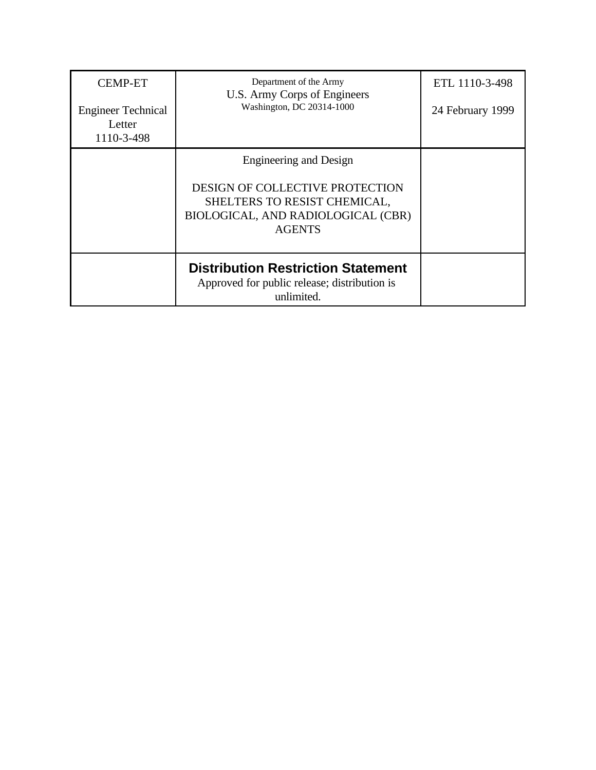| <b>CEMP-ET</b><br><b>Engineer Technical</b><br>Letter<br>1110-3-498 | Department of the Army<br>U.S. Army Corps of Engineers<br>Washington, DC 20314-1000                                                                     | ETL 1110-3-498<br>24 February 1999 |
|---------------------------------------------------------------------|---------------------------------------------------------------------------------------------------------------------------------------------------------|------------------------------------|
|                                                                     | Engineering and Design<br><b>DESIGN OF COLLECTIVE PROTECTION</b><br>SHELTERS TO RESIST CHEMICAL,<br>BIOLOGICAL, AND RADIOLOGICAL (CBR)<br><b>AGENTS</b> |                                    |
|                                                                     |                                                                                                                                                         |                                    |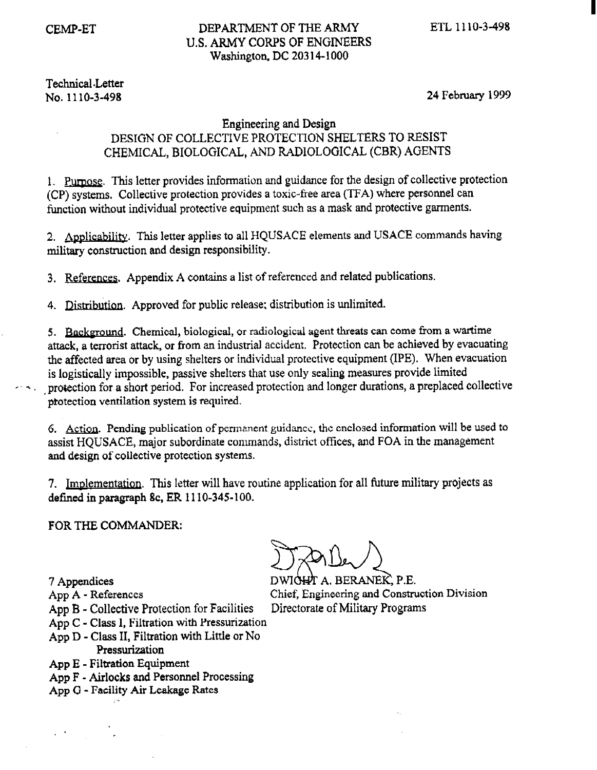# Technical .Letter

# No. 1110-3-498 24 February 1999

# Engineering and Design DESIGN OF COLLECTIVE PROTECTION SHELTERS TO RESIST CMEMICAL, BIOLOGICAL, AND RADIOLOGICAL (CBR) AGENTS

1. Purpose. This letter provides information and guidance for the design of collective protection (CP) systems. Collective protection provides a toxic-free area (TFA) where personnel can function without individual protective equipment such as a mask and protective garments.

2. Applicability. This letter applies to all HQUSACE elements and USACE commands having military construction and design responsibility.

3. References. Appendix A contains a list of referenced and related publications.

4. Distribution. Approved for public release; distribution is unlimited.

5. Background. Chemical, biological, or radiological agent threats can come from a wartime attack, a terrorist attack, or from an industrial accident. Protection can be achieved by evacuating the affected area or by using shelters or individual protective equipment (IPE). When evacuation is logistically impossible, passive shelters that use only sealing measures provide limited , proiection for a short period. For increased protection and longer durations, a preplaced collective protection ventilation system is required.

6. Action. Pending publication of permanent guidance, the enclosed information will be used to assist HQUSACE, major subordinate commands, district offices, and FOA in the management and design of collective protection systems.

7. Implementation. This letter will have routine application for all future military projects as defined in paragraph 8c, ER I 110-345-100.

FOR THE COMMANDER:

- 
- App B Collective Protection for Facilities Directorate of Military Programs
- App C Class I, Filtration with Pressurization
- App D Class II, Filtration with Little or No
	- Pressurization
- App E Filtration Equipment
- App F Airlocks and Personnel Processing
- App G Facility Air Leakage Rates

7 Appendices DWICH A. BERANEX, P.E. App A - References Chief, Engineering and Construction Division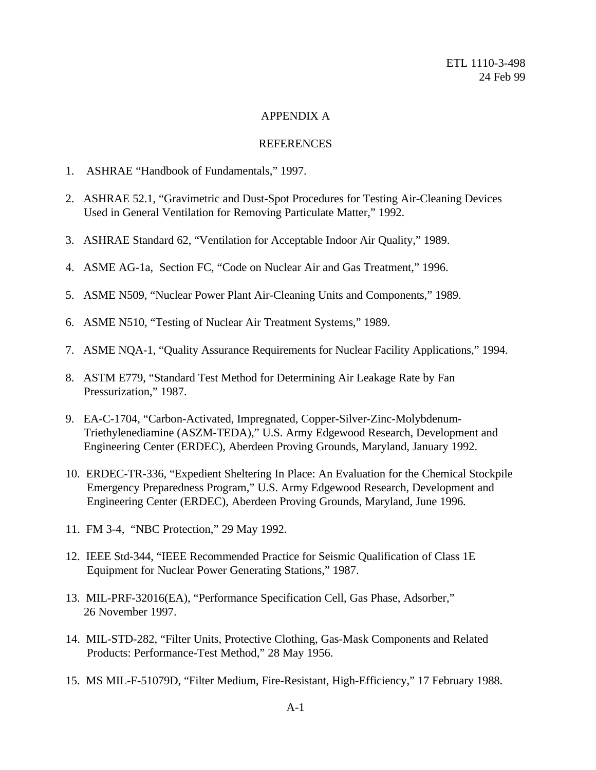# APPENDIX A

# REFERENCES

- 1. ASHRAE "Handbook of Fundamentals," 1997.
- 2. ASHRAE 52.1, "Gravimetric and Dust-Spot Procedures for Testing Air-Cleaning Devices Used in General Ventilation for Removing Particulate Matter," 1992.
- 3. ASHRAE Standard 62, "Ventilation for Acceptable Indoor Air Quality," 1989.
- 4. ASME AG-1a, Section FC, "Code on Nuclear Air and Gas Treatment," 1996.
- 5. ASME N509, "Nuclear Power Plant Air-Cleaning Units and Components," 1989.
- 6. ASME N510, "Testing of Nuclear Air Treatment Systems," 1989.
- 7. ASME NQA-1, "Quality Assurance Requirements for Nuclear Facility Applications," 1994.
- 8. ASTM E779, "Standard Test Method for Determining Air Leakage Rate by Fan Pressurization," 1987.
- 9. EA-C-1704, "Carbon-Activated, Impregnated, Copper-Silver-Zinc-Molybdenum- Triethylenediamine (ASZM-TEDA)," U.S. Army Edgewood Research, Development and Engineering Center (ERDEC), Aberdeen Proving Grounds, Maryland, January 1992.
- 10. ERDEC-TR-336, "Expedient Sheltering In Place: An Evaluation for the Chemical Stockpile Emergency Preparedness Program," U.S. Army Edgewood Research, Development and Engineering Center (ERDEC), Aberdeen Proving Grounds, Maryland, June 1996.
- 11. FM 3-4, "NBC Protection," 29 May 1992.
- 12. IEEE Std-344, "IEEE Recommended Practice for Seismic Qualification of Class 1E Equipment for Nuclear Power Generating Stations," 1987.
- 13. MIL-PRF-32016(EA), "Performance Specification Cell, Gas Phase, Adsorber," 26 November 1997.
- 14. MIL-STD-282, "Filter Units, Protective Clothing, Gas-Mask Components and Related Products: Performance-Test Method," 28 May 1956.
- 15. MS MIL-F-51079D, "Filter Medium, Fire-Resistant, High-Efficiency," 17 February 1988.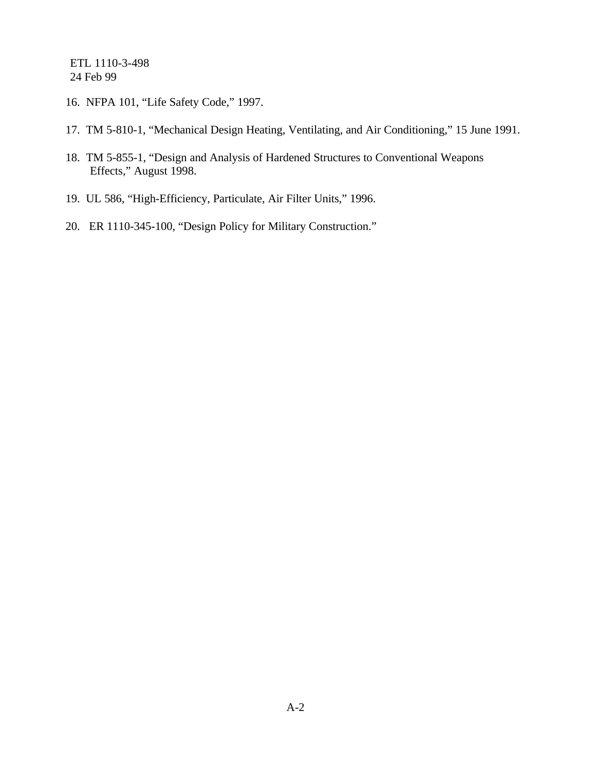- 16. NFPA 101, "Life Safety Code," 1997.
- 17. TM 5-810-1, "Mechanical Design Heating, Ventilating, and Air Conditioning," 15 June 1991.
- 18. TM 5-855-1, "Design and Analysis of Hardened Structures to Conventional Weapons Effects," August 1998.
- 19. UL 586, "High-Efficiency, Particulate, Air Filter Units," 1996.
- 20. ER 1110-345-100, "Design Policy for Military Construction."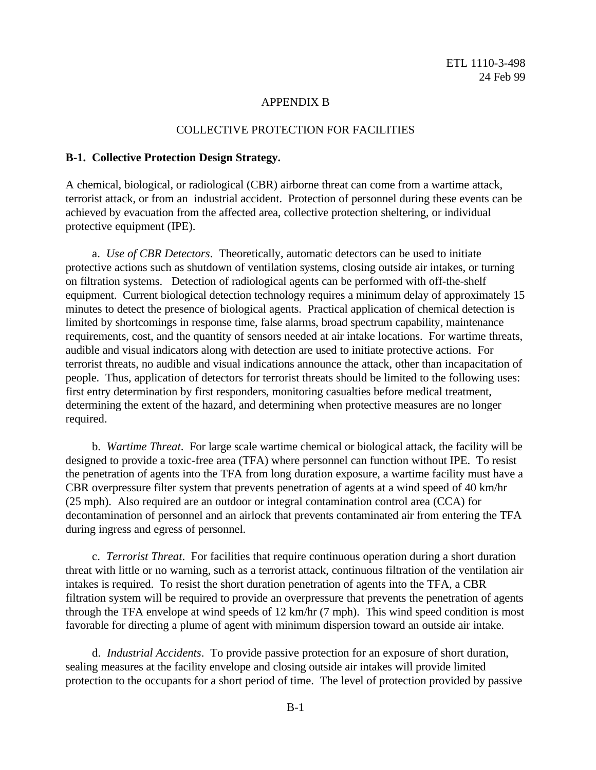#### APPENDIX B

#### COLLECTIVE PROTECTION FOR FACILITIES

#### **B-1. Collective Protection Design Strategy.**

A chemical, biological, or radiological (CBR) airborne threat can come from a wartime attack, terrorist attack, or from an industrial accident. Protection of personnel during these events can be achieved by evacuation from the affected area, collective protection sheltering, or individual protective equipment (IPE).

a. *Use of CBR Detectors*. Theoretically, automatic detectors can be used to initiate protective actions such as shutdown of ventilation systems, closing outside air intakes, or turning on filtration systems. Detection of radiological agents can be performed with off-the-shelf equipment. Current biological detection technology requires a minimum delay of approximately 15 minutes to detect the presence of biological agents. Practical application of chemical detection is limited by shortcomings in response time, false alarms, broad spectrum capability, maintenance requirements, cost, and the quantity of sensors needed at air intake locations. For wartime threats, audible and visual indicators along with detection are used to initiate protective actions. For terrorist threats, no audible and visual indications announce the attack, other than incapacitation of people. Thus, application of detectors for terrorist threats should be limited to the following uses: first entry determination by first responders, monitoring casualties before medical treatment, determining the extent of the hazard, and determining when protective measures are no longer required.

b. *Wartime Threat*. For large scale wartime chemical or biological attack, the facility will be designed to provide a toxic-free area (TFA) where personnel can function without IPE. To resist the penetration of agents into the TFA from long duration exposure, a wartime facility must have a CBR overpressure filter system that prevents penetration of agents at a wind speed of 40 km/hr (25 mph). Also required are an outdoor or integral contamination control area (CCA) for decontamination of personnel and an airlock that prevents contaminated air from entering the TFA during ingress and egress of personnel.

c. *Terrorist Threat*. For facilities that require continuous operation during a short duration threat with little or no warning, such as a terrorist attack, continuous filtration of the ventilation air intakes is required. To resist the short duration penetration of agents into the TFA, a CBR filtration system will be required to provide an overpressure that prevents the penetration of agents through the TFA envelope at wind speeds of 12 km/hr (7 mph). This wind speed condition is most favorable for directing a plume of agent with minimum dispersion toward an outside air intake.

d. *Industrial Accidents*. To provide passive protection for an exposure of short duration, sealing measures at the facility envelope and closing outside air intakes will provide limited protection to the occupants for a short period of time. The level of protection provided by passive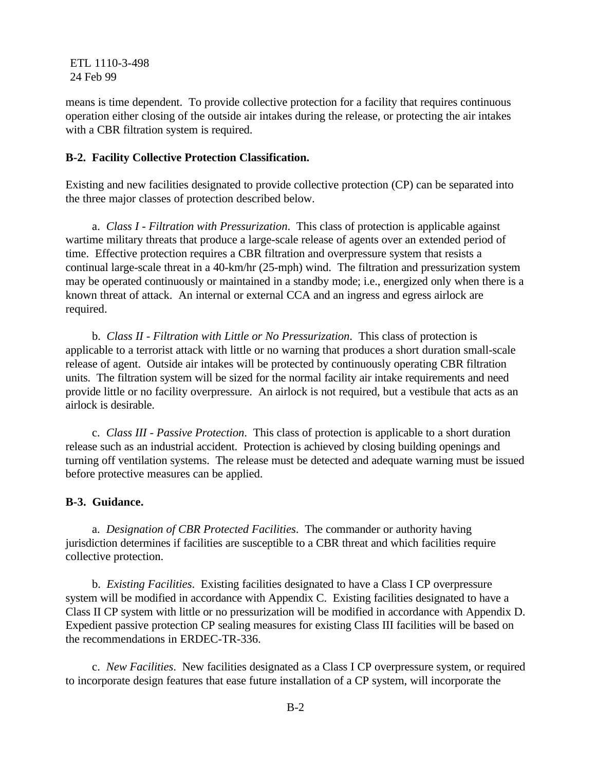means is time dependent. To provide collective protection for a facility that requires continuous operation either closing of the outside air intakes during the release, or protecting the air intakes with a CBR filtration system is required.

## **B-2. Facility Collective Protection Classification.**

Existing and new facilities designated to provide collective protection (CP) can be separated into the three major classes of protection described below.

a. *Class I - Filtration with Pressurization*. This class of protection is applicable against wartime military threats that produce a large-scale release of agents over an extended period of time. Effective protection requires a CBR filtration and overpressure system that resists a continual large-scale threat in a 40-km/hr (25-mph) wind. The filtration and pressurization system may be operated continuously or maintained in a standby mode; i.e., energized only when there is a known threat of attack. An internal or external CCA and an ingress and egress airlock are required.

b. *Class II - Filtration with Little or No Pressurization*. This class of protection is applicable to a terrorist attack with little or no warning that produces a short duration small-scale release of agent. Outside air intakes will be protected by continuously operating CBR filtration units. The filtration system will be sized for the normal facility air intake requirements and need provide little or no facility overpressure. An airlock is not required, but a vestibule that acts as an airlock is desirable.

c. *Class III - Passive Protection*. This class of protection is applicable to a short duration release such as an industrial accident. Protection is achieved by closing building openings and turning off ventilation systems. The release must be detected and adequate warning must be issued before protective measures can be applied.

#### **B-3. Guidance.**

a. *Designation of CBR Protected Facilities*. The commander or authority having jurisdiction determines if facilities are susceptible to a CBR threat and which facilities require collective protection.

b. *Existing Facilities*. Existing facilities designated to have a Class I CP overpressure system will be modified in accordance with Appendix C. Existing facilities designated to have a Class II CP system with little or no pressurization will be modified in accordance with Appendix D. Expedient passive protection CP sealing measures for existing Class III facilities will be based on the recommendations in ERDEC-TR-336.

c. *New Facilities*. New facilities designated as a Class I CP overpressure system, or required to incorporate design features that ease future installation of a CP system, will incorporate the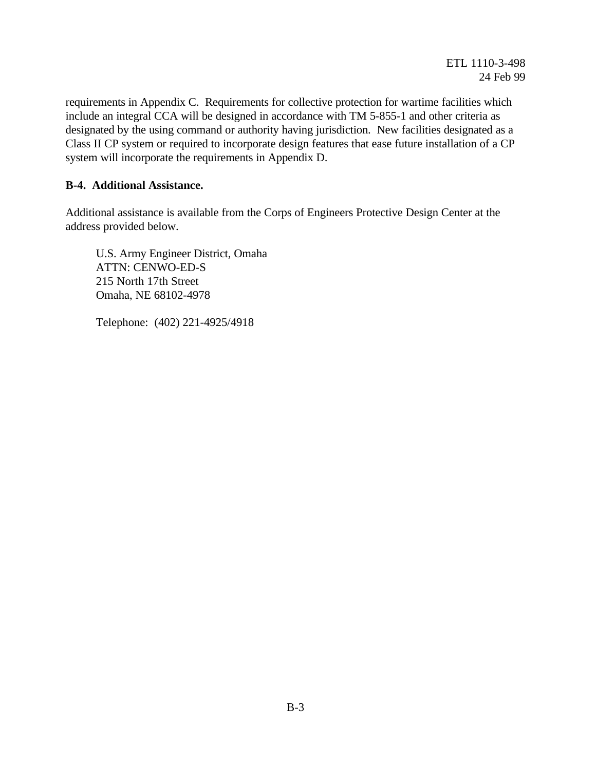requirements in Appendix C. Requirements for collective protection for wartime facilities which include an integral CCA will be designed in accordance with TM 5-855-1 and other criteria as designated by the using command or authority having jurisdiction. New facilities designated as a Class II CP system or required to incorporate design features that ease future installation of a CP system will incorporate the requirements in Appendix D.

# **B-4. Additional Assistance.**

Additional assistance is available from the Corps of Engineers Protective Design Center at the address provided below.

 U.S. Army Engineer District, Omaha ATTN: CENWO-ED-S 215 North 17th Street Omaha, NE 68102-4978

Telephone: (402) 221-4925/4918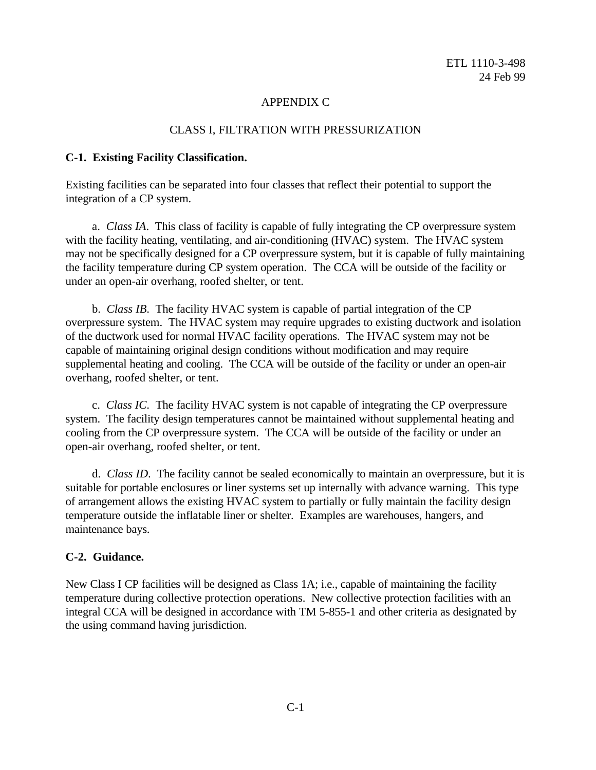# APPENDIX C

#### CLASS I, FILTRATION WITH PRESSURIZATION

#### **C-1. Existing Facility Classification.**

Existing facilities can be separated into four classes that reflect their potential to support the integration of a CP system.

a. *Class IA*. This class of facility is capable of fully integrating the CP overpressure system with the facility heating, ventilating, and air-conditioning (HVAC) system. The HVAC system may not be specifically designed for a CP overpressure system, but it is capable of fully maintaining the facility temperature during CP system operation. The CCA will be outside of the facility or under an open-air overhang, roofed shelter, or tent.

b. *Class IB*. The facility HVAC system is capable of partial integration of the CP overpressure system. The HVAC system may require upgrades to existing ductwork and isolation of the ductwork used for normal HVAC facility operations. The HVAC system may not be capable of maintaining original design conditions without modification and may require supplemental heating and cooling. The CCA will be outside of the facility or under an open-air overhang, roofed shelter, or tent.

c. *Class IC*. The facility HVAC system is not capable of integrating the CP overpressure system. The facility design temperatures cannot be maintained without supplemental heating and cooling from the CP overpressure system. The CCA will be outside of the facility or under an open-air overhang, roofed shelter, or tent.

d. *Class ID*. The facility cannot be sealed economically to maintain an overpressure, but it is suitable for portable enclosures or liner systems set up internally with advance warning. This type of arrangement allows the existing HVAC system to partially or fully maintain the facility design temperature outside the inflatable liner or shelter. Examples are warehouses, hangers, and maintenance bays.

# **C-2. Guidance.**

New Class I CP facilities will be designed as Class 1A; i.e., capable of maintaining the facility temperature during collective protection operations. New collective protection facilities with an integral CCA will be designed in accordance with TM 5-855-1 and other criteria as designated by the using command having jurisdiction.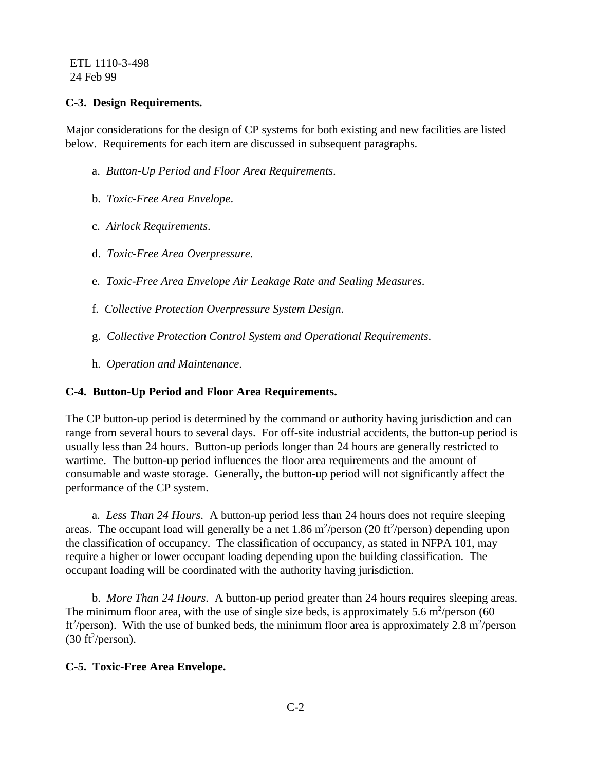# **C-3. Design Requirements.**

Major considerations for the design of CP systems for both existing and new facilities are listed below. Requirements for each item are discussed in subsequent paragraphs.

- a. *Button-Up Period and Floor Area Requirements*.
- b. *Toxic-Free Area Envelope*.
- c. *Airlock Requirements*.
- d. *Toxic-Free Area Overpressure*.
- e. *Toxic-Free Area Envelope Air Leakage Rate and Sealing Measures*.
- f. *Collective Protection Overpressure System Design*.
- g. *Collective Protection Control System and Operational Requirements*.
- h. *Operation and Maintenance*.

# **C-4. Button-Up Period and Floor Area Requirements.**

The CP button-up period is determined by the command or authority having jurisdiction and can range from several hours to several days. For off-site industrial accidents, the button-up period is usually less than 24 hours. Button-up periods longer than 24 hours are generally restricted to wartime. The button-up period influences the floor area requirements and the amount of consumable and waste storage. Generally, the button-up period will not significantly affect the performance of the CP system.

a. *Less Than 24 Hours*. A button-up period less than 24 hours does not require sleeping areas. The occupant load will generally be a net 1.86 m<sup>2</sup>/person (20 ft<sup>2</sup>/person) depending upon the classification of occupancy. The classification of occupancy, as stated in NFPA 101, may require a higher or lower occupant loading depending upon the building classification. The occupant loading will be coordinated with the authority having jurisdiction.

b. *More Than 24 Hours*. A button-up period greater than 24 hours requires sleeping areas. The minimum floor area, with the use of single size beds, is approximately 5.6 m<sup>2</sup>/person (60) ft<sup>2</sup>/person). With the use of bunked beds, the minimum floor area is approximately 2.8 m<sup>2</sup>/person  $(30 \text{ ft}^2/\text{person})$ .

# **C-5. Toxic-Free Area Envelope.**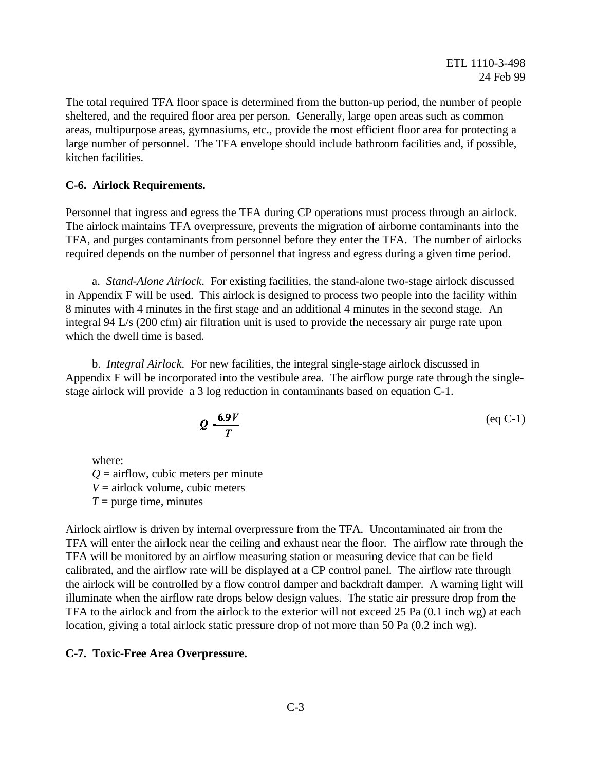The total required TFA floor space is determined from the button-up period, the number of people sheltered, and the required floor area per person. Generally, large open areas such as common areas, multipurpose areas, gymnasiums, etc., provide the most efficient floor area for protecting a large number of personnel. The TFA envelope should include bathroom facilities and, if possible, kitchen facilities.

## **C-6. Airlock Requirements.**

Personnel that ingress and egress the TFA during CP operations must process through an airlock. The airlock maintains TFA overpressure, prevents the migration of airborne contaminants into the TFA, and purges contaminants from personnel before they enter the TFA. The number of airlocks required depends on the number of personnel that ingress and egress during a given time period.

a. *Stand-Alone Airlock*. For existing facilities, the stand-alone two-stage airlock discussed in Appendix F will be used. This airlock is designed to process two people into the facility within 8 minutes with 4 minutes in the first stage and an additional 4 minutes in the second stage. An integral 94 L/s (200 cfm) air filtration unit is used to provide the necessary air purge rate upon which the dwell time is based.

b. *Integral Airlock*. For new facilities, the integral single-stage airlock discussed in Appendix F will be incorporated into the vestibule area. The airflow purge rate through the singlestage airlock will provide a 3 log reduction in contaminants based on equation C-1.

$$
Q - \frac{6.9V}{T}
$$
 (eq C-1)

where:

 $Q =$  airflow, cubic meters per minute

 $V =$ airlock volume, cubic meters

 $T =$  purge time, minutes

Airlock airflow is driven by internal overpressure from the TFA. Uncontaminated air from the TFA will enter the airlock near the ceiling and exhaust near the floor. The airflow rate through the TFA will be monitored by an airflow measuring station or measuring device that can be field calibrated, and the airflow rate will be displayed at a CP control panel. The airflow rate through the airlock will be controlled by a flow control damper and backdraft damper. A warning light will illuminate when the airflow rate drops below design values. The static air pressure drop from the TFA to the airlock and from the airlock to the exterior will not exceed 25 Pa (0.1 inch wg) at each location, giving a total airlock static pressure drop of not more than 50 Pa (0.2 inch wg).

#### **C-7. Toxic-Free Area Overpressure.**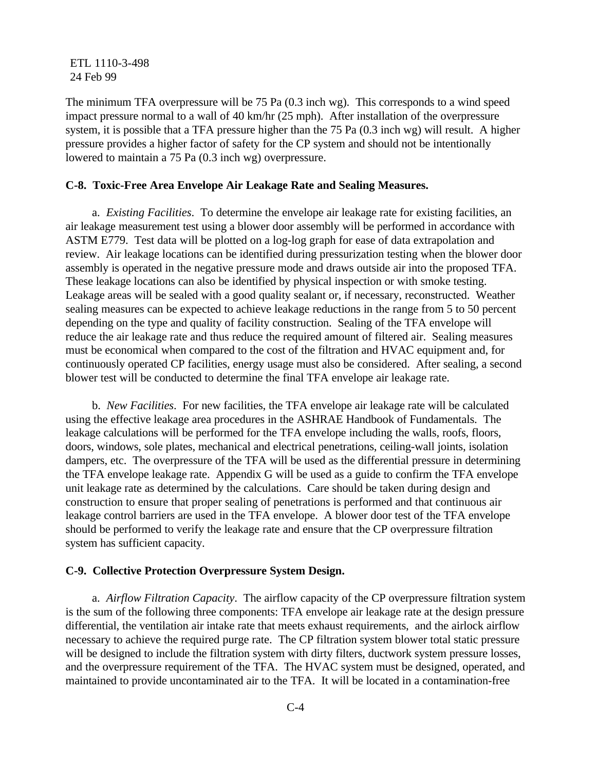The minimum TFA overpressure will be 75 Pa (0.3 inch wg). This corresponds to a wind speed impact pressure normal to a wall of 40 km/hr (25 mph). After installation of the overpressure system, it is possible that a TFA pressure higher than the 75 Pa (0.3 inch wg) will result. A higher pressure provides a higher factor of safety for the CP system and should not be intentionally lowered to maintain a 75 Pa (0.3 inch wg) overpressure.

#### **C-8. Toxic-Free Area Envelope Air Leakage Rate and Sealing Measures.**

a. *Existing Facilities*. To determine the envelope air leakage rate for existing facilities, an air leakage measurement test using a blower door assembly will be performed in accordance with ASTM E779. Test data will be plotted on a log-log graph for ease of data extrapolation and review. Air leakage locations can be identified during pressurization testing when the blower door assembly is operated in the negative pressure mode and draws outside air into the proposed TFA. These leakage locations can also be identified by physical inspection or with smoke testing. Leakage areas will be sealed with a good quality sealant or, if necessary, reconstructed. Weather sealing measures can be expected to achieve leakage reductions in the range from 5 to 50 percent depending on the type and quality of facility construction. Sealing of the TFA envelope will reduce the air leakage rate and thus reduce the required amount of filtered air. Sealing measures must be economical when compared to the cost of the filtration and HVAC equipment and, for continuously operated CP facilities, energy usage must also be considered. After sealing, a second blower test will be conducted to determine the final TFA envelope air leakage rate.

b. *New Facilities*. For new facilities, the TFA envelope air leakage rate will be calculated using the effective leakage area procedures in the ASHRAE Handbook of Fundamentals. The leakage calculations will be performed for the TFA envelope including the walls, roofs, floors, doors, windows, sole plates, mechanical and electrical penetrations, ceiling-wall joints, isolation dampers, etc. The overpressure of the TFA will be used as the differential pressure in determining the TFA envelope leakage rate. Appendix G will be used as a guide to confirm the TFA envelope unit leakage rate as determined by the calculations. Care should be taken during design and construction to ensure that proper sealing of penetrations is performed and that continuous air leakage control barriers are used in the TFA envelope. A blower door test of the TFA envelope should be performed to verify the leakage rate and ensure that the CP overpressure filtration system has sufficient capacity.

#### **C-9. Collective Protection Overpressure System Design.**

a. *Airflow Filtration Capacity*. The airflow capacity of the CP overpressure filtration system is the sum of the following three components: TFA envelope air leakage rate at the design pressure differential, the ventilation air intake rate that meets exhaust requirements, and the airlock airflow necessary to achieve the required purge rate. The CP filtration system blower total static pressure will be designed to include the filtration system with dirty filters, ductwork system pressure losses, and the overpressure requirement of the TFA. The HVAC system must be designed, operated, and maintained to provide uncontaminated air to the TFA. It will be located in a contamination-free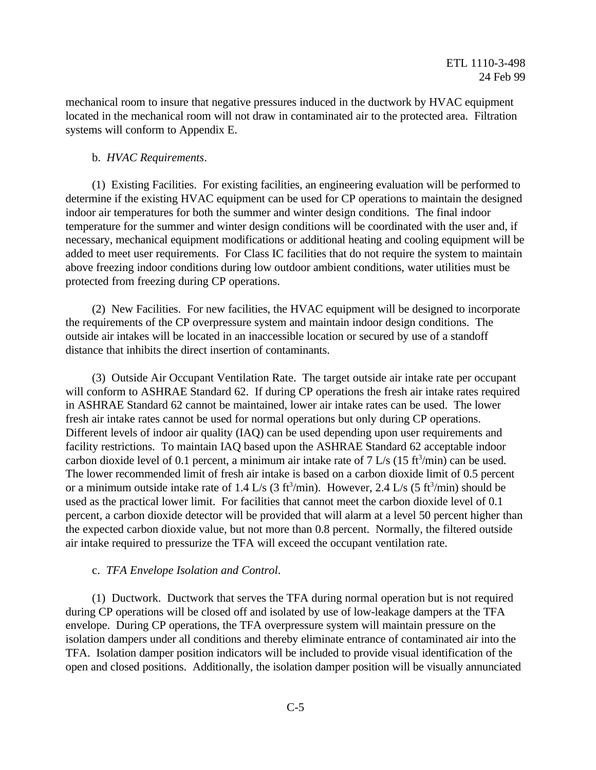mechanical room to insure that negative pressures induced in the ductwork by HVAC equipment located in the mechanical room will not draw in contaminated air to the protected area. Filtration systems will conform to Appendix E.

#### b. *HVAC Requirements*.

(1) Existing Facilities. For existing facilities, an engineering evaluation will be performed to determine if the existing HVAC equipment can be used for CP operations to maintain the designed indoor air temperatures for both the summer and winter design conditions. The final indoor temperature for the summer and winter design conditions will be coordinated with the user and, if necessary, mechanical equipment modifications or additional heating and cooling equipment will be added to meet user requirements. For Class IC facilities that do not require the system to maintain above freezing indoor conditions during low outdoor ambient conditions, water utilities must be protected from freezing during CP operations.

(2) New Facilities. For new facilities, the HVAC equipment will be designed to incorporate the requirements of the CP overpressure system and maintain indoor design conditions. The outside air intakes will be located in an inaccessible location or secured by use of a standoff distance that inhibits the direct insertion of contaminants.

(3) Outside Air Occupant Ventilation Rate. The target outside air intake rate per occupant will conform to ASHRAE Standard 62. If during CP operations the fresh air intake rates required in ASHRAE Standard 62 cannot be maintained, lower air intake rates can be used. The lower fresh air intake rates cannot be used for normal operations but only during CP operations. Different levels of indoor air quality (IAQ) can be used depending upon user requirements and facility restrictions. To maintain IAQ based upon the ASHRAE Standard 62 acceptable indoor carbon dioxide level of 0.1 percent, a minimum air intake rate of 7 L/s (15 ft<sup>3</sup>/min) can be used. The lower recommended limit of fresh air intake is based on a carbon dioxide limit of 0.5 percent or a minimum outside intake rate of 1.4 L/s (3 ft<sup>3</sup>/min). However, 2.4 L/s (5 ft<sup>3</sup>/min) should be used as the practical lower limit. For facilities that cannot meet the carbon dioxide level of 0.1 percent, a carbon dioxide detector will be provided that will alarm at a level 50 percent higher than the expected carbon dioxide value, but not more than 0.8 percent. Normally, the filtered outside air intake required to pressurize the TFA will exceed the occupant ventilation rate.

#### c. *TFA Envelope Isolation and Control*.

(1) Ductwork. Ductwork that serves the TFA during normal operation but is not required during CP operations will be closed off and isolated by use of low-leakage dampers at the TFA envelope. During CP operations, the TFA overpressure system will maintain pressure on the isolation dampers under all conditions and thereby eliminate entrance of contaminated air into the TFA. Isolation damper position indicators will be included to provide visual identification of the open and closed positions. Additionally, the isolation damper position will be visually annunciated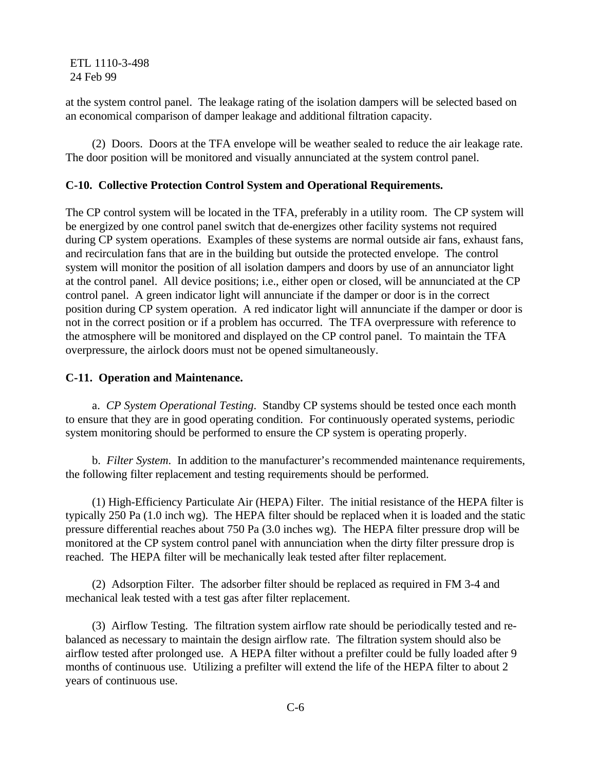at the system control panel. The leakage rating of the isolation dampers will be selected based on an economical comparison of damper leakage and additional filtration capacity.

(2) Doors. Doors at the TFA envelope will be weather sealed to reduce the air leakage rate. The door position will be monitored and visually annunciated at the system control panel.

# **C-10. Collective Protection Control System and Operational Requirements.**

The CP control system will be located in the TFA, preferably in a utility room. The CP system will be energized by one control panel switch that de-energizes other facility systems not required during CP system operations. Examples of these systems are normal outside air fans, exhaust fans, and recirculation fans that are in the building but outside the protected envelope. The control system will monitor the position of all isolation dampers and doors by use of an annunciator light at the control panel. All device positions; i.e., either open or closed, will be annunciated at the CP control panel. A green indicator light will annunciate if the damper or door is in the correct position during CP system operation. A red indicator light will annunciate if the damper or door is not in the correct position or if a problem has occurred. The TFA overpressure with reference to the atmosphere will be monitored and displayed on the CP control panel. To maintain the TFA overpressure, the airlock doors must not be opened simultaneously.

#### **C-11. Operation and Maintenance.**

a. *CP System Operational Testing*. Standby CP systems should be tested once each month to ensure that they are in good operating condition. For continuously operated systems, periodic system monitoring should be performed to ensure the CP system is operating properly.

b. *Filter System*. In addition to the manufacturer's recommended maintenance requirements, the following filter replacement and testing requirements should be performed.

(1) High-Efficiency Particulate Air (HEPA) Filter. The initial resistance of the HEPA filter is typically 250 Pa (1.0 inch wg). The HEPA filter should be replaced when it is loaded and the static pressure differential reaches about 750 Pa (3.0 inches wg). The HEPA filter pressure drop will be monitored at the CP system control panel with annunciation when the dirty filter pressure drop is reached. The HEPA filter will be mechanically leak tested after filter replacement.

(2) Adsorption Filter. The adsorber filter should be replaced as required in FM 3-4 and mechanical leak tested with a test gas after filter replacement.

(3) Airflow Testing. The filtration system airflow rate should be periodically tested and rebalanced as necessary to maintain the design airflow rate. The filtration system should also be airflow tested after prolonged use. A HEPA filter without a prefilter could be fully loaded after 9 months of continuous use. Utilizing a prefilter will extend the life of the HEPA filter to about 2 years of continuous use.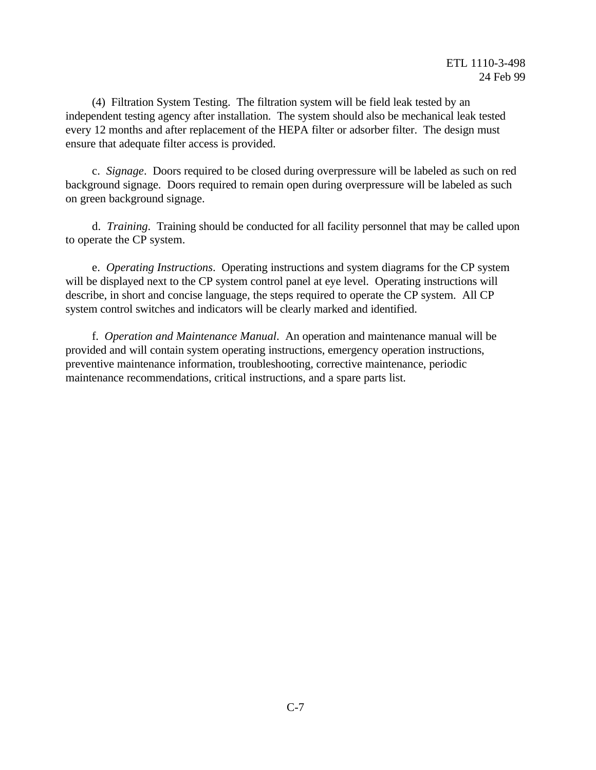(4) Filtration System Testing. The filtration system will be field leak tested by an independent testing agency after installation. The system should also be mechanical leak tested every 12 months and after replacement of the HEPA filter or adsorber filter. The design must ensure that adequate filter access is provided.

c. *Signage*. Doors required to be closed during overpressure will be labeled as such on red background signage. Doors required to remain open during overpressure will be labeled as such on green background signage.

d. *Training*. Training should be conducted for all facility personnel that may be called upon to operate the CP system.

e. *Operating Instructions*. Operating instructions and system diagrams for the CP system will be displayed next to the CP system control panel at eye level. Operating instructions will describe, in short and concise language, the steps required to operate the CP system. All CP system control switches and indicators will be clearly marked and identified.

f. *Operation and Maintenance Manual*. An operation and maintenance manual will be provided and will contain system operating instructions, emergency operation instructions, preventive maintenance information, troubleshooting, corrective maintenance, periodic maintenance recommendations, critical instructions, and a spare parts list.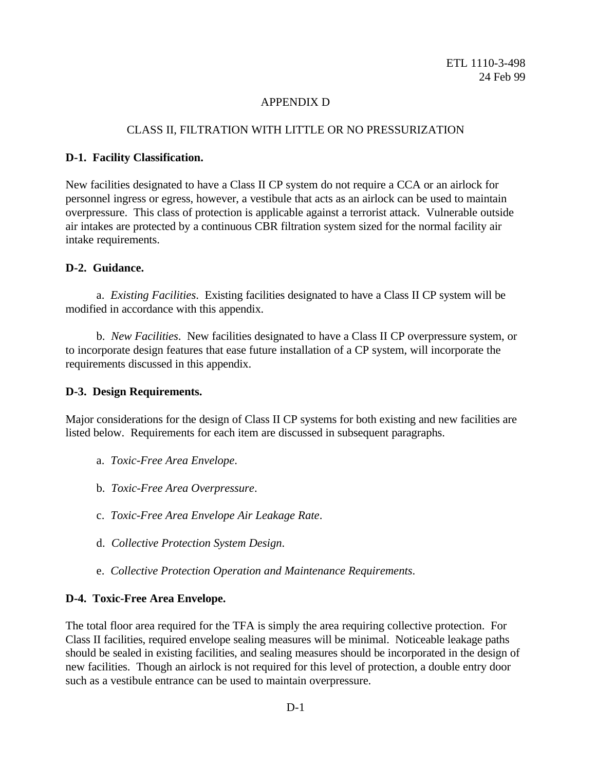# APPENDIX D

# CLASS II, FILTRATION WITH LITTLE OR NO PRESSURIZATION

## **D-1. Facility Classification.**

New facilities designated to have a Class II CP system do not require a CCA or an airlock for personnel ingress or egress, however, a vestibule that acts as an airlock can be used to maintain overpressure. This class of protection is applicable against a terrorist attack. Vulnerable outside air intakes are protected by a continuous CBR filtration system sized for the normal facility air intake requirements.

# **D-2. Guidance.**

a. *Existing Facilities*. Existing facilities designated to have a Class II CP system will be modified in accordance with this appendix.

b. *New Facilities*. New facilities designated to have a Class II CP overpressure system, or to incorporate design features that ease future installation of a CP system, will incorporate the requirements discussed in this appendix.

# **D-3. Design Requirements.**

Major considerations for the design of Class II CP systems for both existing and new facilities are listed below. Requirements for each item are discussed in subsequent paragraphs.

- a. *Toxic-Free Area Envelope*.
- b. *Toxic-Free Area Overpressure*.
- c. *Toxic-Free Area Envelope Air Leakage Rate*.
- d. *Collective Protection System Design*.
- e. *Collective Protection Operation and Maintenance Requirements*.

# **D-4. Toxic-Free Area Envelope.**

The total floor area required for the TFA is simply the area requiring collective protection. For Class II facilities, required envelope sealing measures will be minimal. Noticeable leakage paths should be sealed in existing facilities, and sealing measures should be incorporated in the design of new facilities. Though an airlock is not required for this level of protection, a double entry door such as a vestibule entrance can be used to maintain overpressure.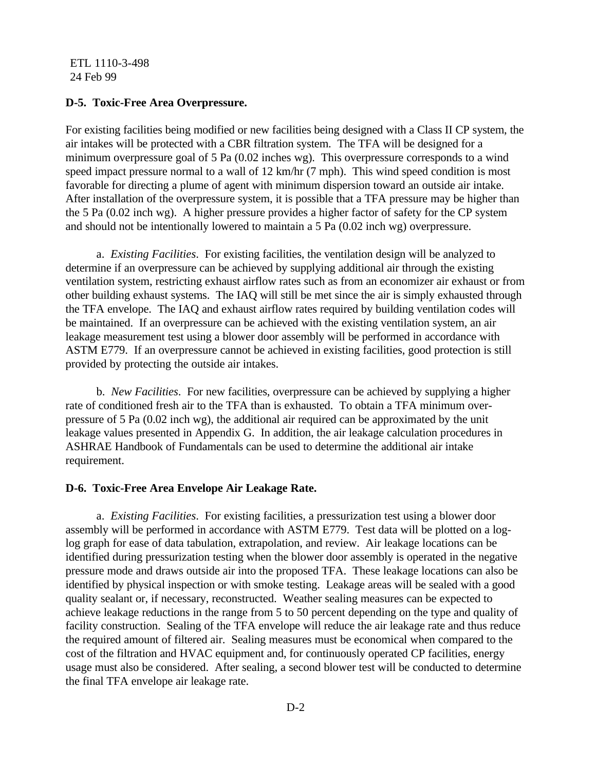#### **D-5. Toxic-Free Area Overpressure.**

For existing facilities being modified or new facilities being designed with a Class II CP system, the air intakes will be protected with a CBR filtration system. The TFA will be designed for a minimum overpressure goal of 5 Pa (0.02 inches wg). This overpressure corresponds to a wind speed impact pressure normal to a wall of 12 km/hr (7 mph). This wind speed condition is most favorable for directing a plume of agent with minimum dispersion toward an outside air intake. After installation of the overpressure system, it is possible that a TFA pressure may be higher than the 5 Pa (0.02 inch wg). A higher pressure provides a higher factor of safety for the CP system and should not be intentionally lowered to maintain a 5 Pa (0.02 inch wg) overpressure.

a. *Existing Facilities*. For existing facilities, the ventilation design will be analyzed to determine if an overpressure can be achieved by supplying additional air through the existing ventilation system, restricting exhaust airflow rates such as from an economizer air exhaust or from other building exhaust systems. The IAQ will still be met since the air is simply exhausted through the TFA envelope. The IAQ and exhaust airflow rates required by building ventilation codes will be maintained. If an overpressure can be achieved with the existing ventilation system, an air leakage measurement test using a blower door assembly will be performed in accordance with ASTM E779. If an overpressure cannot be achieved in existing facilities, good protection is still provided by protecting the outside air intakes.

b. *New Facilities*. For new facilities, overpressure can be achieved by supplying a higher rate of conditioned fresh air to the TFA than is exhausted. To obtain a TFA minimum overpressure of 5 Pa (0.02 inch wg), the additional air required can be approximated by the unit leakage values presented in Appendix G. In addition, the air leakage calculation procedures in ASHRAE Handbook of Fundamentals can be used to determine the additional air intake requirement.

#### **D-6. Toxic-Free Area Envelope Air Leakage Rate.**

a. *Existing Facilities*. For existing facilities, a pressurization test using a blower door assembly will be performed in accordance with ASTM E779. Test data will be plotted on a loglog graph for ease of data tabulation, extrapolation, and review. Air leakage locations can be identified during pressurization testing when the blower door assembly is operated in the negative pressure mode and draws outside air into the proposed TFA. These leakage locations can also be identified by physical inspection or with smoke testing. Leakage areas will be sealed with a good quality sealant or, if necessary, reconstructed. Weather sealing measures can be expected to achieve leakage reductions in the range from 5 to 50 percent depending on the type and quality of facility construction. Sealing of the TFA envelope will reduce the air leakage rate and thus reduce the required amount of filtered air. Sealing measures must be economical when compared to the cost of the filtration and HVAC equipment and, for continuously operated CP facilities, energy usage must also be considered. After sealing, a second blower test will be conducted to determine the final TFA envelope air leakage rate.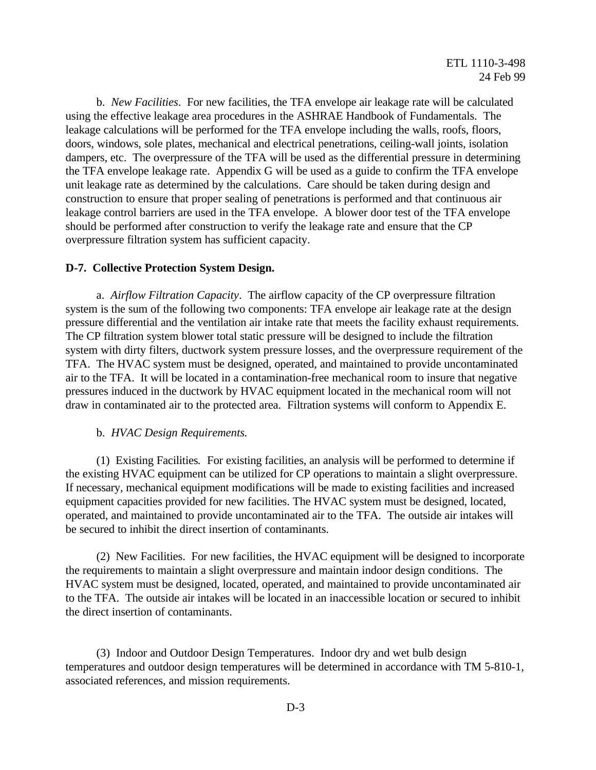b. *New Facilities*. For new facilities, the TFA envelope air leakage rate will be calculated using the effective leakage area procedures in the ASHRAE Handbook of Fundamentals. The leakage calculations will be performed for the TFA envelope including the walls, roofs, floors, doors, windows, sole plates, mechanical and electrical penetrations, ceiling-wall joints, isolation dampers, etc. The overpressure of the TFA will be used as the differential pressure in determining the TFA envelope leakage rate. Appendix G will be used as a guide to confirm the TFA envelope unit leakage rate as determined by the calculations. Care should be taken during design and construction to ensure that proper sealing of penetrations is performed and that continuous air leakage control barriers are used in the TFA envelope. A blower door test of the TFA envelope should be performed after construction to verify the leakage rate and ensure that the CP overpressure filtration system has sufficient capacity.

## **D-7. Collective Protection System Design.**

a. *Airflow Filtration Capacity*. The airflow capacity of the CP overpressure filtration system is the sum of the following two components: TFA envelope air leakage rate at the design pressure differential and the ventilation air intake rate that meets the facility exhaust requirements. The CP filtration system blower total static pressure will be designed to include the filtration system with dirty filters, ductwork system pressure losses, and the overpressure requirement of the TFA. The HVAC system must be designed, operated, and maintained to provide uncontaminated air to the TFA. It will be located in a contamination-free mechanical room to insure that negative pressures induced in the ductwork by HVAC equipment located in the mechanical room will not draw in contaminated air to the protected area. Filtration systems will conform to Appendix E.

#### b. *HVAC Design Requirements.*

(1) Existing Facilities*.* For existing facilities, an analysis will be performed to determine if the existing HVAC equipment can be utilized for CP operations to maintain a slight overpressure. If necessary, mechanical equipment modifications will be made to existing facilities and increased equipment capacities provided for new facilities. The HVAC system must be designed, located, operated, and maintained to provide uncontaminated air to the TFA. The outside air intakes will be secured to inhibit the direct insertion of contaminants.

(2) New Facilities. For new facilities, the HVAC equipment will be designed to incorporate the requirements to maintain a slight overpressure and maintain indoor design conditions. The HVAC system must be designed, located, operated, and maintained to provide uncontaminated air to the TFA. The outside air intakes will be located in an inaccessible location or secured to inhibit the direct insertion of contaminants.

(3) Indoor and Outdoor Design Temperatures. Indoor dry and wet bulb design temperatures and outdoor design temperatures will be determined in accordance with TM 5-810-1, associated references, and mission requirements.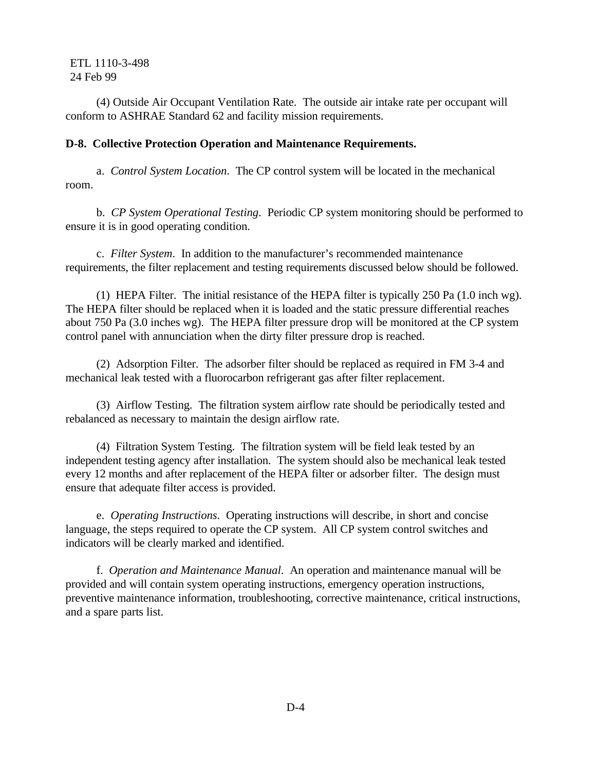(4) Outside Air Occupant Ventilation Rate. The outside air intake rate per occupant will conform to ASHRAE Standard 62 and facility mission requirements.

# **D-8. Collective Protection Operation and Maintenance Requirements.**

a. *Control System Location*. The CP control system will be located in the mechanical room.

b. *CP System Operational Testing*. Periodic CP system monitoring should be performed to ensure it is in good operating condition.

c. *Filter System*. In addition to the manufacturer's recommended maintenance requirements, the filter replacement and testing requirements discussed below should be followed.

(1) HEPA Filter. The initial resistance of the HEPA filter is typically 250 Pa (1.0 inch wg). The HEPA filter should be replaced when it is loaded and the static pressure differential reaches about 750 Pa (3.0 inches wg). The HEPA filter pressure drop will be monitored at the CP system control panel with annunciation when the dirty filter pressure drop is reached.

(2) Adsorption Filter. The adsorber filter should be replaced as required in FM 3-4 and mechanical leak tested with a fluorocarbon refrigerant gas after filter replacement.

(3) Airflow Testing. The filtration system airflow rate should be periodically tested and rebalanced as necessary to maintain the design airflow rate.

(4) Filtration System Testing. The filtration system will be field leak tested by an independent testing agency after installation. The system should also be mechanical leak tested every 12 months and after replacement of the HEPA filter or adsorber filter. The design must ensure that adequate filter access is provided.

e. *Operating Instructions*. Operating instructions will describe, in short and concise language, the steps required to operate the CP system. All CP system control switches and indicators will be clearly marked and identified.

f. *Operation and Maintenance Manual*. An operation and maintenance manual will be provided and will contain system operating instructions, emergency operation instructions, preventive maintenance information, troubleshooting, corrective maintenance, critical instructions, and a spare parts list.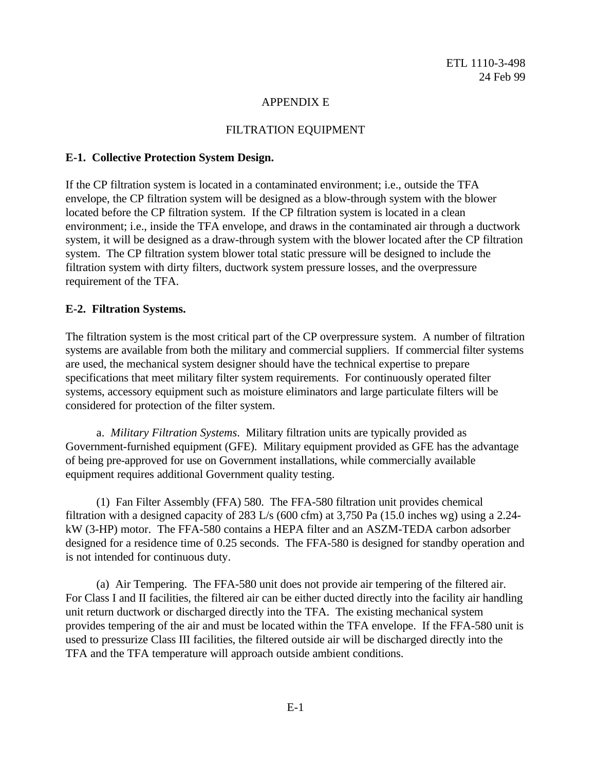# APPENDIX E

# FILTRATION EQUIPMENT

## **E-1. Collective Protection System Design.**

If the CP filtration system is located in a contaminated environment; i.e., outside the TFA envelope, the CP filtration system will be designed as a blow-through system with the blower located before the CP filtration system. If the CP filtration system is located in a clean environment; i.e., inside the TFA envelope, and draws in the contaminated air through a ductwork system, it will be designed as a draw-through system with the blower located after the CP filtration system. The CP filtration system blower total static pressure will be designed to include the filtration system with dirty filters, ductwork system pressure losses, and the overpressure requirement of the TFA.

## **E-2. Filtration Systems.**

The filtration system is the most critical part of the CP overpressure system. A number of filtration systems are available from both the military and commercial suppliers. If commercial filter systems are used, the mechanical system designer should have the technical expertise to prepare specifications that meet military filter system requirements. For continuously operated filter systems, accessory equipment such as moisture eliminators and large particulate filters will be considered for protection of the filter system.

a. *Military Filtration Systems*. Military filtration units are typically provided as Government-furnished equipment (GFE). Military equipment provided as GFE has the advantage of being pre-approved for use on Government installations, while commercially available equipment requires additional Government quality testing.

(1) Fan Filter Assembly (FFA) 580. The FFA-580 filtration unit provides chemical filtration with a designed capacity of 283 L/s (600 cfm) at 3,750 Pa (15.0 inches wg) using a 2.24 kW (3-HP) motor. The FFA-580 contains a HEPA filter and an ASZM-TEDA carbon adsorber designed for a residence time of 0.25 seconds. The FFA-580 is designed for standby operation and is not intended for continuous duty.

(a) Air Tempering. The FFA-580 unit does not provide air tempering of the filtered air. For Class I and II facilities, the filtered air can be either ducted directly into the facility air handling unit return ductwork or discharged directly into the TFA. The existing mechanical system provides tempering of the air and must be located within the TFA envelope. If the FFA-580 unit is used to pressurize Class III facilities, the filtered outside air will be discharged directly into the TFA and the TFA temperature will approach outside ambient conditions.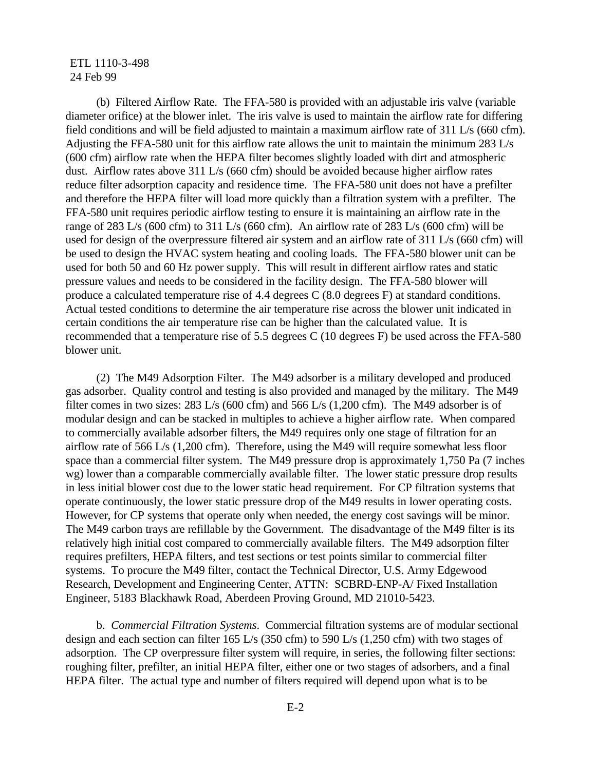(b) Filtered Airflow Rate. The FFA-580 is provided with an adjustable iris valve (variable diameter orifice) at the blower inlet. The iris valve is used to maintain the airflow rate for differing field conditions and will be field adjusted to maintain a maximum airflow rate of 311 L/s (660 cfm). Adjusting the FFA-580 unit for this airflow rate allows the unit to maintain the minimum 283 L/s (600 cfm) airflow rate when the HEPA filter becomes slightly loaded with dirt and atmospheric dust. Airflow rates above 311 L/s (660 cfm) should be avoided because higher airflow rates reduce filter adsorption capacity and residence time. The FFA-580 unit does not have a prefilter and therefore the HEPA filter will load more quickly than a filtration system with a prefilter. The FFA-580 unit requires periodic airflow testing to ensure it is maintaining an airflow rate in the range of 283 L/s (600 cfm) to 311 L/s (660 cfm). An airflow rate of 283 L/s (600 cfm) will be used for design of the overpressure filtered air system and an airflow rate of 311 L/s (660 cfm) will be used to design the HVAC system heating and cooling loads. The FFA-580 blower unit can be used for both 50 and 60 Hz power supply. This will result in different airflow rates and static pressure values and needs to be considered in the facility design. The FFA-580 blower will produce a calculated temperature rise of 4.4 degrees C (8.0 degrees F) at standard conditions. Actual tested conditions to determine the air temperature rise across the blower unit indicated in certain conditions the air temperature rise can be higher than the calculated value. It is recommended that a temperature rise of 5.5 degrees C (10 degrees F) be used across the FFA-580 blower unit.

(2) The M49 Adsorption Filter. The M49 adsorber is a military developed and produced gas adsorber. Quality control and testing is also provided and managed by the military. The M49 filter comes in two sizes: 283 L/s (600 cfm) and 566 L/s (1,200 cfm). The M49 adsorber is of modular design and can be stacked in multiples to achieve a higher airflow rate. When compared to commercially available adsorber filters, the M49 requires only one stage of filtration for an airflow rate of 566 L/s (1,200 cfm). Therefore, using the M49 will require somewhat less floor space than a commercial filter system. The M49 pressure drop is approximately 1,750 Pa (7 inches wg) lower than a comparable commercially available filter. The lower static pressure drop results in less initial blower cost due to the lower static head requirement. For CP filtration systems that operate continuously, the lower static pressure drop of the M49 results in lower operating costs. However, for CP systems that operate only when needed, the energy cost savings will be minor. The M49 carbon trays are refillable by the Government. The disadvantage of the M49 filter is its relatively high initial cost compared to commercially available filters. The M49 adsorption filter requires prefilters, HEPA filters, and test sections or test points similar to commercial filter systems. To procure the M49 filter, contact the Technical Director, U.S. Army Edgewood Research, Development and Engineering Center, ATTN: SCBRD-ENP-A/ Fixed Installation Engineer, 5183 Blackhawk Road, Aberdeen Proving Ground, MD 21010-5423.

b. *Commercial Filtration Systems*. Commercial filtration systems are of modular sectional design and each section can filter 165 L/s (350 cfm) to 590 L/s (1,250 cfm) with two stages of adsorption. The CP overpressure filter system will require, in series, the following filter sections: roughing filter, prefilter, an initial HEPA filter, either one or two stages of adsorbers, and a final HEPA filter. The actual type and number of filters required will depend upon what is to be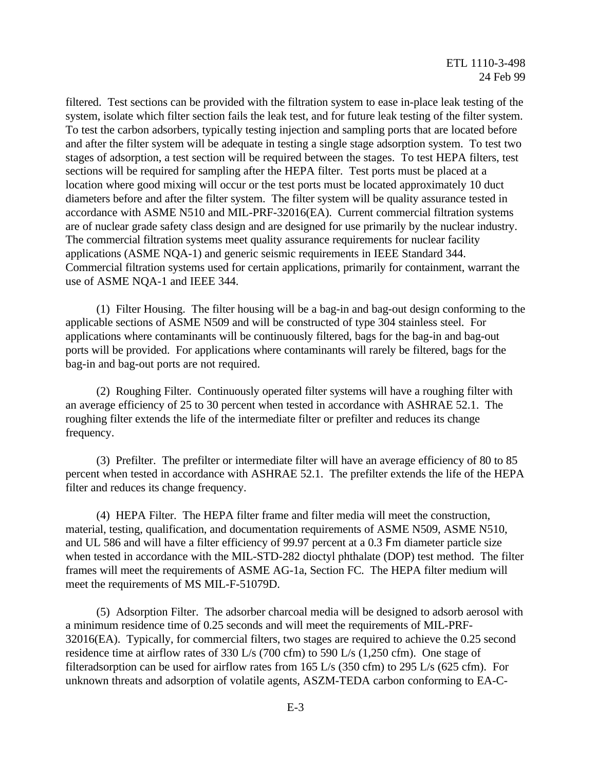filtered. Test sections can be provided with the filtration system to ease in-place leak testing of the system, isolate which filter section fails the leak test, and for future leak testing of the filter system. To test the carbon adsorbers, typically testing injection and sampling ports that are located before and after the filter system will be adequate in testing a single stage adsorption system. To test two stages of adsorption, a test section will be required between the stages. To test HEPA filters, test sections will be required for sampling after the HEPA filter. Test ports must be placed at a location where good mixing will occur or the test ports must be located approximately 10 duct diameters before and after the filter system. The filter system will be quality assurance tested in accordance with ASME N510 and MIL-PRF-32016(EA). Current commercial filtration systems are of nuclear grade safety class design and are designed for use primarily by the nuclear industry. The commercial filtration systems meet quality assurance requirements for nuclear facility applications (ASME NQA-1) and generic seismic requirements in IEEE Standard 344. Commercial filtration systems used for certain applications, primarily for containment, warrant the use of ASME NQA-1 and IEEE 344.

(1) Filter Housing. The filter housing will be a bag-in and bag-out design conforming to the applicable sections of ASME N509 and will be constructed of type 304 stainless steel. For applications where contaminants will be continuously filtered, bags for the bag-in and bag-out ports will be provided. For applications where contaminants will rarely be filtered, bags for the bag-in and bag-out ports are not required.

(2) Roughing Filter. Continuously operated filter systems will have a roughing filter with an average efficiency of 25 to 30 percent when tested in accordance with ASHRAE 52.1. The roughing filter extends the life of the intermediate filter or prefilter and reduces its change frequency.

(3) Prefilter. The prefilter or intermediate filter will have an average efficiency of 80 to 85 percent when tested in accordance with ASHRAE 52.1. The prefilter extends the life of the HEPA filter and reduces its change frequency.

(4) HEPA Filter. The HEPA filter frame and filter media will meet the construction, material, testing, qualification, and documentation requirements of ASME N509, ASME N510, and UL 586 and will have a filter efficiency of 99.97 percent at a 0.3 Fm diameter particle size when tested in accordance with the MIL-STD-282 dioctyl phthalate (DOP) test method. The filter frames will meet the requirements of ASME AG-1a, Section FC. The HEPA filter medium will meet the requirements of MS MIL-F-51079D.

(5) Adsorption Filter. The adsorber charcoal media will be designed to adsorb aerosol with a minimum residence time of 0.25 seconds and will meet the requirements of MIL-PRF-32016(EA). Typically, for commercial filters, two stages are required to achieve the 0.25 second residence time at airflow rates of 330 L/s (700 cfm) to 590 L/s (1,250 cfm). One stage of filteradsorption can be used for airflow rates from 165 L/s (350 cfm) to 295 L/s (625 cfm). For unknown threats and adsorption of volatile agents, ASZM-TEDA carbon conforming to EA-C-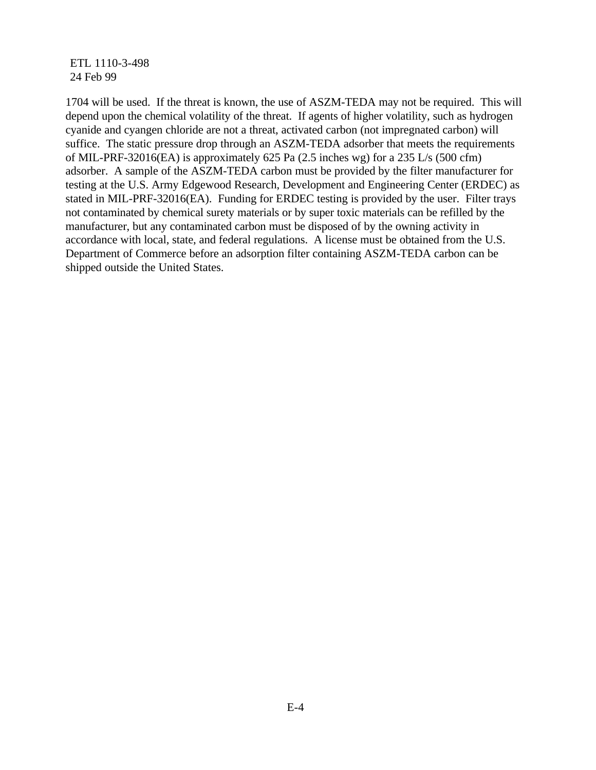1704 will be used. If the threat is known, the use of ASZM-TEDA may not be required. This will depend upon the chemical volatility of the threat. If agents of higher volatility, such as hydrogen cyanide and cyangen chloride are not a threat, activated carbon (not impregnated carbon) will suffice. The static pressure drop through an ASZM-TEDA adsorber that meets the requirements of MIL-PRF-32016(EA) is approximately 625 Pa (2.5 inches wg) for a 235 L/s (500 cfm) adsorber. A sample of the ASZM-TEDA carbon must be provided by the filter manufacturer for testing at the U.S. Army Edgewood Research, Development and Engineering Center (ERDEC) as stated in MIL-PRF-32016(EA). Funding for ERDEC testing is provided by the user. Filter trays not contaminated by chemical surety materials or by super toxic materials can be refilled by the manufacturer, but any contaminated carbon must be disposed of by the owning activity in accordance with local, state, and federal regulations. A license must be obtained from the U.S. Department of Commerce before an adsorption filter containing ASZM-TEDA carbon can be shipped outside the United States.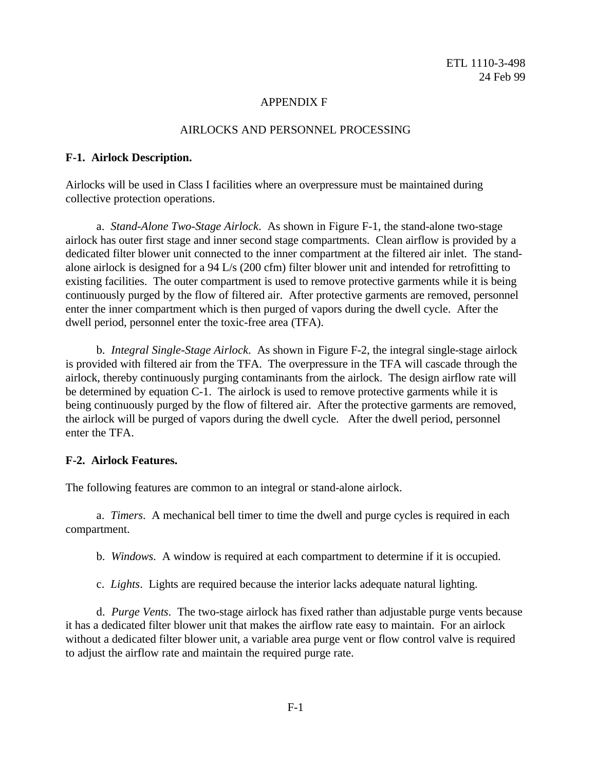## APPENDIX F

# AIRLOCKS AND PERSONNEL PROCESSING

#### **F-1. Airlock Description.**

Airlocks will be used in Class I facilities where an overpressure must be maintained during collective protection operations.

a. *Stand-Alone Two-Stage Airlock*. As shown in Figure F-1, the stand-alone two-stage airlock has outer first stage and inner second stage compartments. Clean airflow is provided by a dedicated filter blower unit connected to the inner compartment at the filtered air inlet. The standalone airlock is designed for a 94 L/s (200 cfm) filter blower unit and intended for retrofitting to existing facilities. The outer compartment is used to remove protective garments while it is being continuously purged by the flow of filtered air. After protective garments are removed, personnel enter the inner compartment which is then purged of vapors during the dwell cycle. After the dwell period, personnel enter the toxic-free area (TFA).

b. *Integral Single-Stage Airlock*. As shown in Figure F-2, the integral single-stage airlock is provided with filtered air from the TFA. The overpressure in the TFA will cascade through the airlock, thereby continuously purging contaminants from the airlock. The design airflow rate will be determined by equation C-1. The airlock is used to remove protective garments while it is being continuously purged by the flow of filtered air. After the protective garments are removed, the airlock will be purged of vapors during the dwell cycle. After the dwell period, personnel enter the TFA.

#### **F-2. Airlock Features.**

The following features are common to an integral or stand-alone airlock.

a. *Timers*. A mechanical bell timer to time the dwell and purge cycles is required in each compartment.

b. *Windows*. A window is required at each compartment to determine if it is occupied.

c. *Lights*. Lights are required because the interior lacks adequate natural lighting.

d. *Purge Vents*. The two-stage airlock has fixed rather than adjustable purge vents because it has a dedicated filter blower unit that makes the airflow rate easy to maintain. For an airlock without a dedicated filter blower unit, a variable area purge vent or flow control valve is required to adjust the airflow rate and maintain the required purge rate.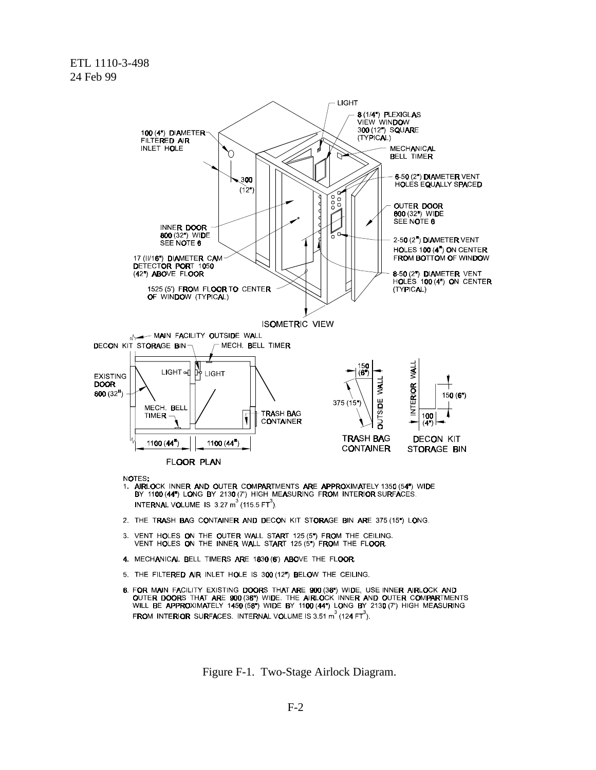

NOTES:

- ".<br>1. AIRLOCK INNER AND OUTER COMPARTMENTS ARE APPROXIMATELY 1350 (54") WIDE<br>BY 11**00 (44") LO**NG BY 2130 (7") HIGH MEASURING FROM INTERIOR SURFACES. INTERNAL VOLUME IS 3.27  $m^3$  (115.5 FT<sup>3</sup>).
- 2. THE TRASH BAG CONTAINER AND DECON KIT STORAGE BIN ARE 375 (15") LONG.
- 3. VENT HOLES ON THE OUTER WALL START 125 (5") FROM THE CEILING. VENT HOLES ON THE INNER WALL START 125  $(5")$  FROM THE FLOOR.
- 4. MECHANICAL BELL TIMERS ARE 1830 (6) ABOVE THE FLOOR.
- 5. THE FILTERED AIR INLET HOLE IS 300 (12") BELOW THE CEILING.
- 8. FOR MAIN FACILITY EXISTING DOORS THAT ARE 900 (38") WIDE, USE INNER AIRLOCK AND OUTER DOORS THAT ARE 900 (36") WIDE. THE AIRLOCK INNER AND OUTER COMPARTMENTS<br>WILL BE APPROXIMATELY 1450 (58") WIDE BY 1100 (44") LONG BY 2130 (7") HIGH MEASURING **FROM INTERIOR SURFACES. INTERNAL VOLUME IS 3.51 m<sup>3</sup> (124 FT<sup>3</sup>).**

Figure F-1. Two-Stage Airlock Diagram.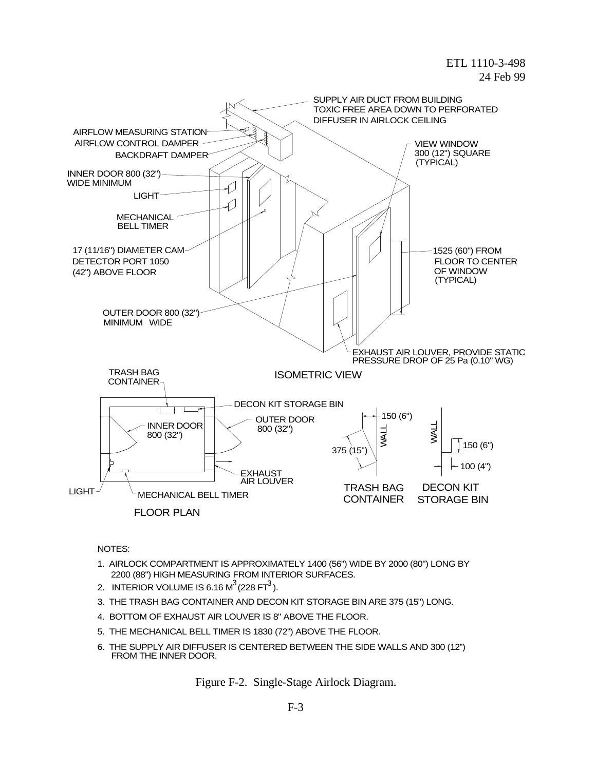

NOTES:

- 1. AIRLOCK COMPARTMENT IS APPROXIMATELY 1400 (56") WIDE BY 2000 (80") LONG BY 2200 (88") HIGH MEASURING FROM INTERIOR SURFACES.
- 2. INTERIOR VOLUME IS 6.16 M $^3$  (228 FT $^3$  ).
- 3. THE TRASH BAG CONTAINER AND DECON KIT STORAGE BIN ARE 375 (15") LONG.
- 4. BOTTOM OF EXHAUST AIR LOUVER IS 8" ABOVE THE FLOOR.
- 5. THE MECHANICAL BELL TIMER IS 1830 (72") ABOVE THE FLOOR.
- 6. THE SUPPLY AIR DIFFUSER IS CENTERED BETWEEN THE SIDE WALLS AND 300 (12") FROM THE INNER DOOR.

Figure F-2. Single-Stage Airlock Diagram.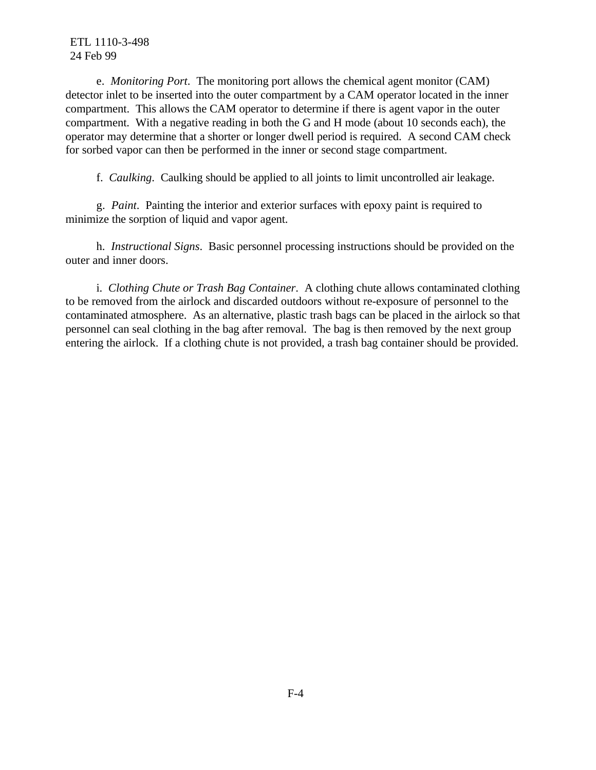e. *Monitoring Port*. The monitoring port allows the chemical agent monitor (CAM) detector inlet to be inserted into the outer compartment by a CAM operator located in the inner compartment. This allows the CAM operator to determine if there is agent vapor in the outer compartment. With a negative reading in both the G and H mode (about 10 seconds each), the operator may determine that a shorter or longer dwell period is required. A second CAM check for sorbed vapor can then be performed in the inner or second stage compartment.

f. *Caulking*. Caulking should be applied to all joints to limit uncontrolled air leakage.

g. *Paint*. Painting the interior and exterior surfaces with epoxy paint is required to minimize the sorption of liquid and vapor agent.

h. *Instructional Signs*. Basic personnel processing instructions should be provided on the outer and inner doors.

i. *Clothing Chute or Trash Bag Container*. A clothing chute allows contaminated clothing to be removed from the airlock and discarded outdoors without re-exposure of personnel to the contaminated atmosphere. As an alternative, plastic trash bags can be placed in the airlock so that personnel can seal clothing in the bag after removal. The bag is then removed by the next group entering the airlock. If a clothing chute is not provided, a trash bag container should be provided.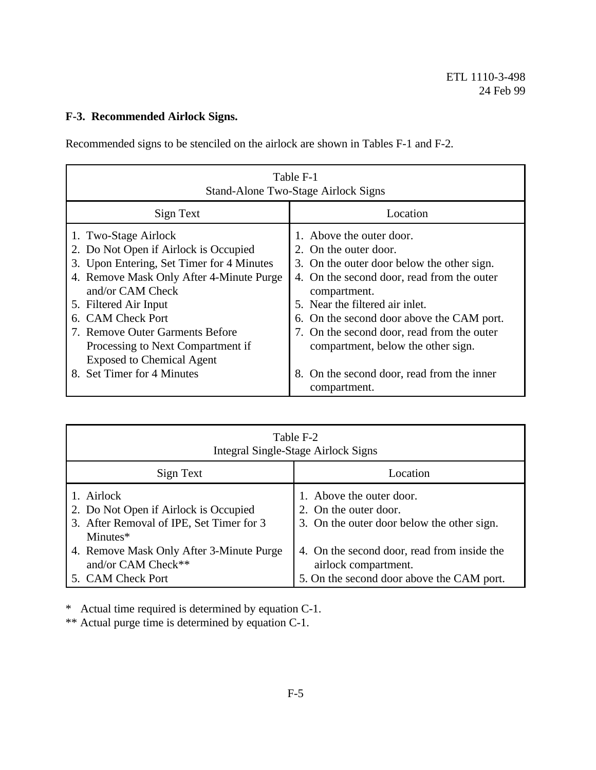# **F-3. Recommended Airlock Signs.**

Recommended signs to be stenciled on the airlock are shown in Tables F-1 and F-2.

| Table F-1<br><b>Stand-Alone Two-Stage Airlock Signs</b>                                                                                                                                                                                                                                                                                                                      |                                                                                                                                                                                                                                                                                                                                                                                 |  |  |  |
|------------------------------------------------------------------------------------------------------------------------------------------------------------------------------------------------------------------------------------------------------------------------------------------------------------------------------------------------------------------------------|---------------------------------------------------------------------------------------------------------------------------------------------------------------------------------------------------------------------------------------------------------------------------------------------------------------------------------------------------------------------------------|--|--|--|
| Sign Text                                                                                                                                                                                                                                                                                                                                                                    | Location                                                                                                                                                                                                                                                                                                                                                                        |  |  |  |
| 1. Two-Stage Airlock<br>2. Do Not Open if Airlock is Occupied<br>3. Upon Entering, Set Timer for 4 Minutes<br>4. Remove Mask Only After 4-Minute Purge<br>and/or CAM Check<br>5. Filtered Air Input<br><b>CAM Check Port</b><br>6.<br>7. Remove Outer Garments Before<br>Processing to Next Compartment if<br><b>Exposed to Chemical Agent</b><br>8. Set Timer for 4 Minutes | 1. Above the outer door.<br>2. On the outer door.<br>3. On the outer door below the other sign.<br>4. On the second door, read from the outer<br>compartment.<br>5. Near the filtered air inlet.<br>6. On the second door above the CAM port.<br>7. On the second door, read from the outer<br>compartment, below the other sign.<br>8. On the second door, read from the inner |  |  |  |
|                                                                                                                                                                                                                                                                                                                                                                              | compartment.                                                                                                                                                                                                                                                                                                                                                                    |  |  |  |

| Table F-2<br><b>Integral Single-Stage Airlock Signs</b>                                                     |                                                                                                                  |  |  |  |
|-------------------------------------------------------------------------------------------------------------|------------------------------------------------------------------------------------------------------------------|--|--|--|
| Sign Text                                                                                                   | Location                                                                                                         |  |  |  |
| 1. Airlock<br>2. Do Not Open if Airlock is Occupied<br>3. After Removal of IPE, Set Timer for 3<br>Minutes* | 1. Above the outer door.<br>2. On the outer door.<br>3. On the outer door below the other sign.                  |  |  |  |
| 4. Remove Mask Only After 3-Minute Purge<br>and/or CAM Check**<br>5. CAM Check Port                         | 4. On the second door, read from inside the<br>airlock compartment.<br>5. On the second door above the CAM port. |  |  |  |

\* Actual time required is determined by equation C-1.

\*\* Actual purge time is determined by equation C-1.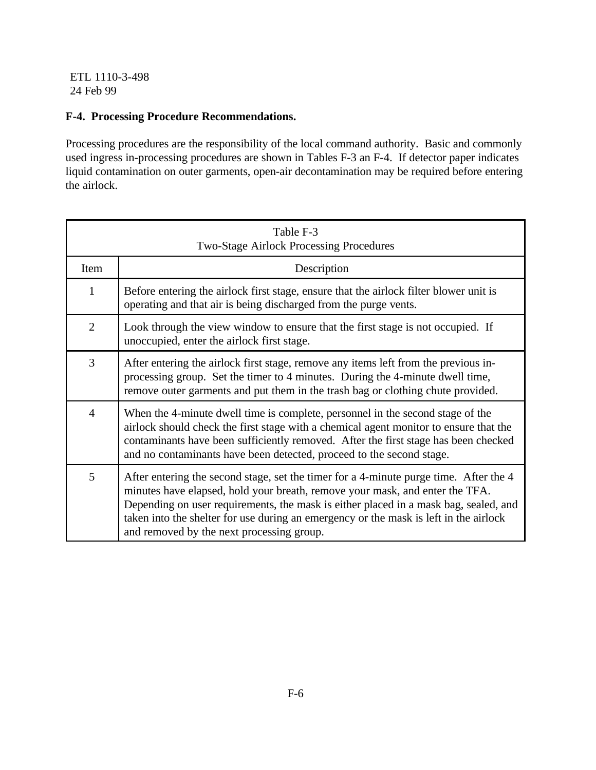# **F-4. Processing Procedure Recommendations.**

Processing procedures are the responsibility of the local command authority. Basic and commonly used ingress in-processing procedures are shown in Tables F-3 an F-4. If detector paper indicates liquid contamination on outer garments, open-air decontamination may be required before entering the airlock.

| Table F-3<br><b>Two-Stage Airlock Processing Procedures</b> |                                                                                                                                                                                                                                                                                                                                                                                                     |  |  |  |
|-------------------------------------------------------------|-----------------------------------------------------------------------------------------------------------------------------------------------------------------------------------------------------------------------------------------------------------------------------------------------------------------------------------------------------------------------------------------------------|--|--|--|
| Item                                                        | Description                                                                                                                                                                                                                                                                                                                                                                                         |  |  |  |
| $\mathbf{1}$                                                | Before entering the airlock first stage, ensure that the airlock filter blower unit is<br>operating and that air is being discharged from the purge vents.                                                                                                                                                                                                                                          |  |  |  |
| $\overline{2}$                                              | Look through the view window to ensure that the first stage is not occupied. If<br>unoccupied, enter the airlock first stage.                                                                                                                                                                                                                                                                       |  |  |  |
| 3                                                           | After entering the airlock first stage, remove any items left from the previous in-<br>processing group. Set the timer to 4 minutes. During the 4-minute dwell time,<br>remove outer garments and put them in the trash bag or clothing chute provided.                                                                                                                                             |  |  |  |
| $\overline{4}$                                              | When the 4-minute dwell time is complete, personnel in the second stage of the<br>airlock should check the first stage with a chemical agent monitor to ensure that the<br>contaminants have been sufficiently removed. After the first stage has been checked<br>and no contaminants have been detected, proceed to the second stage.                                                              |  |  |  |
| 5                                                           | After entering the second stage, set the timer for a 4-minute purge time. After the 4<br>minutes have elapsed, hold your breath, remove your mask, and enter the TFA.<br>Depending on user requirements, the mask is either placed in a mask bag, sealed, and<br>taken into the shelter for use during an emergency or the mask is left in the airlock<br>and removed by the next processing group. |  |  |  |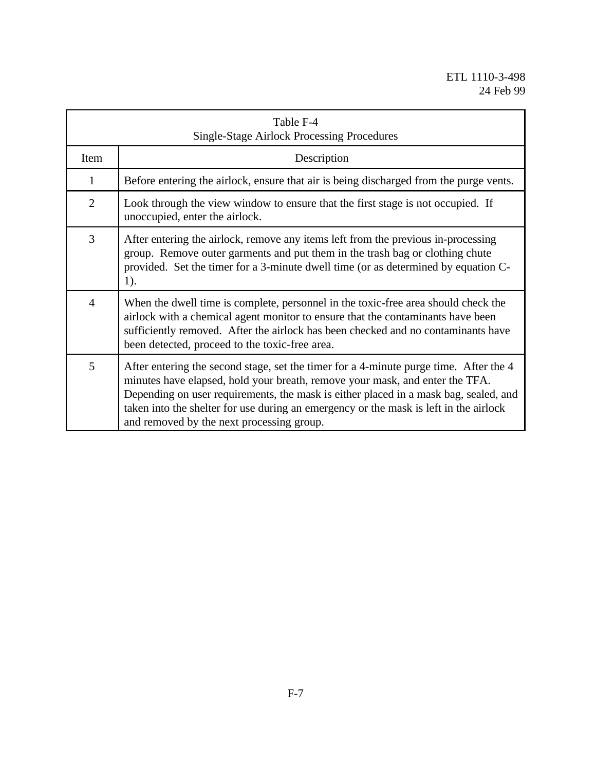| Table F-4<br><b>Single-Stage Airlock Processing Procedures</b> |                                                                                                                                                                                                                                                                                                                                                                                                     |  |  |  |
|----------------------------------------------------------------|-----------------------------------------------------------------------------------------------------------------------------------------------------------------------------------------------------------------------------------------------------------------------------------------------------------------------------------------------------------------------------------------------------|--|--|--|
| Item                                                           | Description                                                                                                                                                                                                                                                                                                                                                                                         |  |  |  |
| $\mathbf{1}$                                                   | Before entering the airlock, ensure that air is being discharged from the purge vents.                                                                                                                                                                                                                                                                                                              |  |  |  |
| $\overline{2}$                                                 | Look through the view window to ensure that the first stage is not occupied. If<br>unoccupied, enter the airlock.                                                                                                                                                                                                                                                                                   |  |  |  |
| 3                                                              | After entering the airlock, remove any items left from the previous in-processing<br>group. Remove outer garments and put them in the trash bag or clothing chute<br>provided. Set the timer for a 3-minute dwell time (or as determined by equation C-<br>$1$ ).                                                                                                                                   |  |  |  |
| $\overline{4}$                                                 | When the dwell time is complete, personnel in the toxic-free area should check the<br>airlock with a chemical agent monitor to ensure that the contaminants have been<br>sufficiently removed. After the airlock has been checked and no contaminants have<br>been detected, proceed to the toxic-free area.                                                                                        |  |  |  |
| 5                                                              | After entering the second stage, set the timer for a 4-minute purge time. After the 4<br>minutes have elapsed, hold your breath, remove your mask, and enter the TFA.<br>Depending on user requirements, the mask is either placed in a mask bag, sealed, and<br>taken into the shelter for use during an emergency or the mask is left in the airlock<br>and removed by the next processing group. |  |  |  |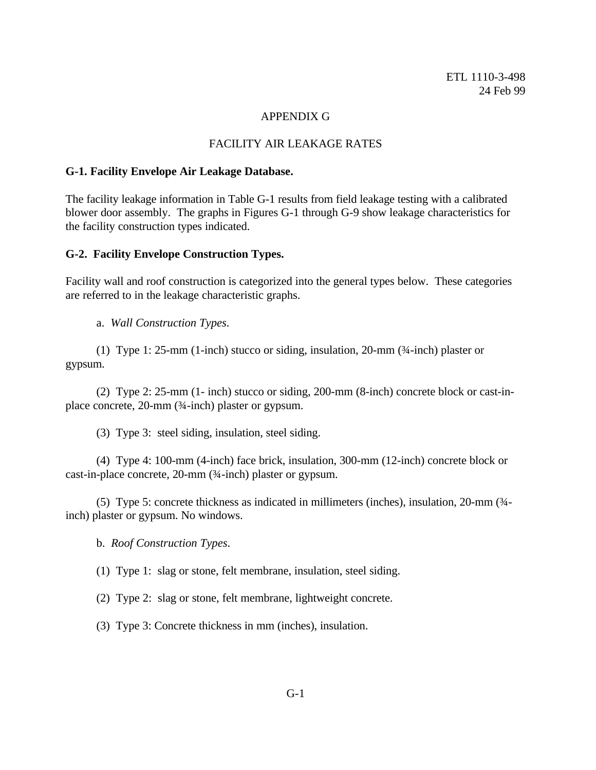#### APPENDIX G

#### FACILITY AIR LEAKAGE RATES

#### **G-1. Facility Envelope Air Leakage Database.**

The facility leakage information in Table G-1 results from field leakage testing with a calibrated blower door assembly. The graphs in Figures G-1 through G-9 show leakage characteristics for the facility construction types indicated.

#### **G-2. Facility Envelope Construction Types.**

Facility wall and roof construction is categorized into the general types below. These categories are referred to in the leakage characteristic graphs.

a. *Wall Construction Types*.

(1) Type 1: 25-mm (1-inch) stucco or siding, insulation, 20-mm (¾-inch) plaster or gypsum.

(2) Type 2: 25-mm (1- inch) stucco or siding, 200-mm (8-inch) concrete block or cast-inplace concrete, 20-mm (¾-inch) plaster or gypsum.

(3) Type 3: steel siding, insulation, steel siding.

(4) Type 4: 100-mm (4-inch) face brick, insulation, 300-mm (12-inch) concrete block or cast-in-place concrete, 20-mm (¾-inch) plaster or gypsum.

(5) Type 5: concrete thickness as indicated in millimeters (inches), insulation, 20-mm (¾ inch) plaster or gypsum. No windows.

b. *Roof Construction Types*.

(1) Type 1: slag or stone, felt membrane, insulation, steel siding.

(2) Type 2: slag or stone, felt membrane, lightweight concrete.

(3) Type 3: Concrete thickness in mm (inches), insulation.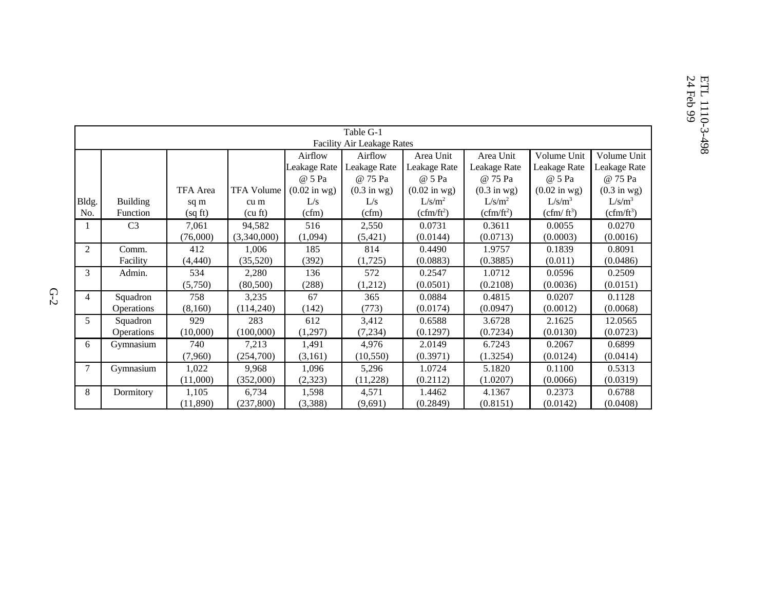| Table G-1      |                            |          |                   |                         |                               |                                |                               |                        |                               |
|----------------|----------------------------|----------|-------------------|-------------------------|-------------------------------|--------------------------------|-------------------------------|------------------------|-------------------------------|
|                | Facility Air Leakage Rates |          |                   |                         |                               |                                |                               |                        |                               |
|                |                            |          |                   | Airflow                 | Airflow                       | Area Unit                      | Area Unit                     | Volume Unit            | Volume Unit                   |
|                |                            |          |                   | Leakage Rate            | Leakage Rate                  | Leakage Rate                   | Leakage Rate                  | Leakage Rate           | Leakage Rate                  |
|                |                            |          |                   | @ 5 Pa                  | @ 75 Pa                       | @ 5 Pa                         | @ 75 Pa                       | @ 5 Pa                 | @ 75 Pa                       |
|                |                            | TFA Area | <b>TFA Volume</b> | $(0.02 \text{ in }$ wg) | $(0.3 \text{ in } \text{wg})$ | $(0.02 \text{ in } \text{wg})$ | $(0.3 \text{ in } \text{wg})$ | $(0.02 \text{ in wg})$ | $(0.3 \text{ in } \text{wg})$ |
| Bldg.          | <b>Building</b>            | sq m     | cu m              | L/s                     | L/s                           | L/s/m <sup>2</sup>             | L/s/m <sup>2</sup>            | $L/s/m^3$              | $L/s/m^3$                     |
| No.            | Function                   | (sq ft)  | (cu ft)           | (cfm)                   | (cfm)                         | $(cfm/ft^2)$                   | $(cfm/ft^2)$                  | $(cfm/ft^3)$           | $(cfm/ft^3)$                  |
|                | C <sub>3</sub>             | 7,061    | 94,582            | 516                     | 2,550                         | 0.0731                         | 0.3611                        | 0.0055                 | 0.0270                        |
|                |                            | (76,000) | (3,340,000)       | (1,094)                 | (5,421)                       | (0.0144)                       | (0.0713)                      | (0.0003)               | (0.0016)                      |
| 2              | Comm.                      | 412      | 1,006             | 185                     | 814                           | 0.4490                         | 1.9757                        | 0.1839                 | 0.8091                        |
|                | Facility                   | (4, 440) | (35,520)          | (392)                   | (1,725)                       | (0.0883)                       | (0.3885)                      | (0.011)                | (0.0486)                      |
| 3              | Admin.                     | 534      | 2,280             | 136                     | 572                           | 0.2547                         | 1.0712                        | 0.0596                 | 0.2509                        |
|                |                            | (5,750)  | (80, 500)         | (288)                   | (1,212)                       | (0.0501)                       | (0.2108)                      | (0.0036)               | (0.0151)                      |
| $\overline{4}$ | Squadron                   | 758      | 3,235             | 67                      | 365                           | 0.0884                         | 0.4815                        | 0.0207                 | 0.1128                        |
|                | Operations                 | (8,160)  | (114,240)         | (142)                   | (773)                         | (0.0174)                       | (0.0947)                      | (0.0012)               | (0.0068)                      |
| 5              | Squadron                   | 929      | 283               | 612                     | 3,412                         | 0.6588                         | 3.6728                        | 2.1625                 | 12.0565                       |
|                | <b>Operations</b>          | (10,000) | (100,000)         | (1,297)                 | (7, 234)                      | (0.1297)                       | (0.7234)                      | (0.0130)               | (0.0723)                      |
| 6              | Gymnasium                  | 740      | 7,213             | 1,491                   | 4,976                         | 2.0149                         | 6.7243                        | 0.2067                 | 0.6899                        |
|                |                            | (7,960)  | (254,700)         | (3,161)                 | (10, 550)                     | (0.3971)                       | (1.3254)                      | (0.0124)               | (0.0414)                      |
| $\tau$         | Gymnasium                  | 1,022    | 9,968             | 1,096                   | 5,296                         | 1.0724                         | 5.1820                        | 0.1100                 | 0.5313                        |
|                |                            | (11,000) | (352,000)         | (2,323)                 | (11,228)                      | (0.2112)                       | (1.0207)                      | (0.0066)               | (0.0319)                      |
| 8              | Dormitory                  | 1,105    | 6,734             | 1,598                   | 4,571                         | 1.4462                         | 4.1367                        | 0.2373                 | 0.6788                        |
|                |                            | (11,890) | (237, 800)        | (3,388)                 | (9,691)                       | (0.2849)                       | (0.8151)                      | (0.0142)               | (0.0408)                      |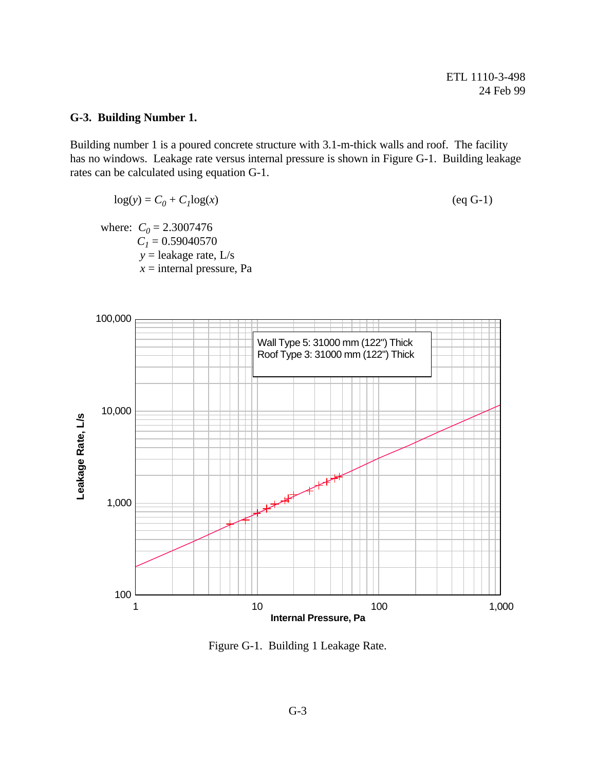# **G-3. Building Number 1.**

Building number 1 is a poured concrete structure with 3.1-m-thick walls and roof. The facility has no windows. Leakage rate versus internal pressure is shown in Figure G-1. Building leakage rates can be calculated using equation G-1.

$$
log(y) = C_0 + C_1 log(x)
$$
 (eq G-1)

where:  $C_0 = 2.3007476$  $C_l = 0.59040570$  *y* = leakage rate, L/s  $x =$ internal pressure, Pa



Figure G-1. Building 1 Leakage Rate.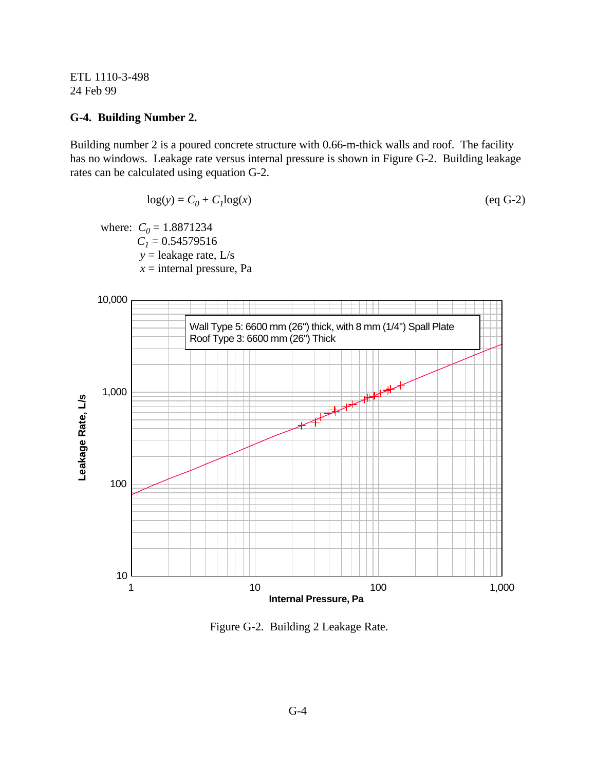#### **G-4. Building Number 2.**

Building number 2 is a poured concrete structure with 0.66-m-thick walls and roof. The facility has no windows. Leakage rate versus internal pressure is shown in Figure G-2. Building leakage rates can be calculated using equation G-2.

$$
\log(y) = C_0 + C_1 \log(x) \tag{eq G-2}
$$

where:  $C_0 = 1.8871234$  $C<sub>1</sub> = 0.54579516$  *y* = leakage rate, L/s  $x =$ internal pressure, Pa



Figure G-2. Building 2 Leakage Rate.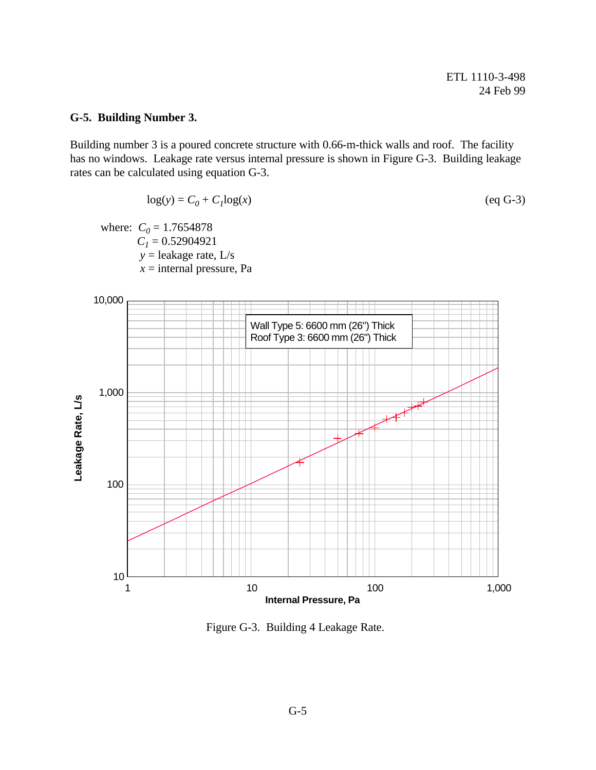# **G-5. Building Number 3.**

Building number 3 is a poured concrete structure with 0.66-m-thick walls and roof. The facility has no windows. Leakage rate versus internal pressure is shown in Figure G-3. Building leakage rates can be calculated using equation G-3.

$$
\log(y) = C_0 + C_1 \log(x) \tag{eq G-3}
$$

where:  $C_0 = 1.7654878$  $C_1 = 0.52904921$  *y* = leakage rate, L/s  $x =$ internal pressure, Pa



Figure G-3. Building 4 Leakage Rate.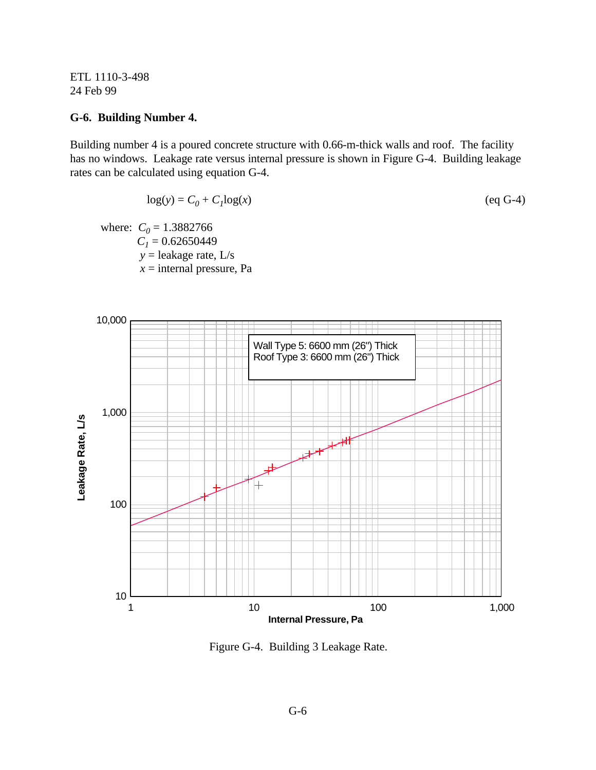#### **G-6. Building Number 4.**

Building number 4 is a poured concrete structure with 0.66-m-thick walls and roof. The facility has no windows. Leakage rate versus internal pressure is shown in Figure G-4. Building leakage rates can be calculated using equation G-4.

$$
\log(y) = C_0 + C_1 \log(x) \tag{eq G-4}
$$

where:  $C_0 = 1.3882766$  $C_1 = 0.62650449$  *y* = leakage rate, L/s  $x =$ internal pressure, Pa



Figure G-4. Building 3 Leakage Rate.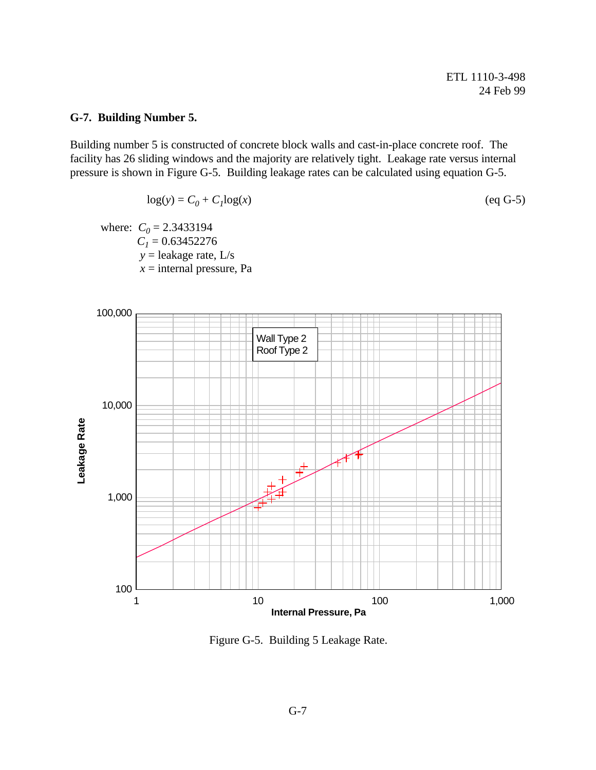# **G-7. Building Number 5.**

Building number 5 is constructed of concrete block walls and cast-in-place concrete roof. The facility has 26 sliding windows and the majority are relatively tight. Leakage rate versus internal pressure is shown in Figure G-5. Building leakage rates can be calculated using equation G-5.

$$
\log(y) = C_0 + C_1 \log(x) \tag{eq G-5}
$$

where:  $C_0 = 2.3433194$  $C<sub>1</sub> = 0.63452276$  *y* = leakage rate, L/s  $x =$ internal pressure, Pa



Figure G-5. Building 5 Leakage Rate.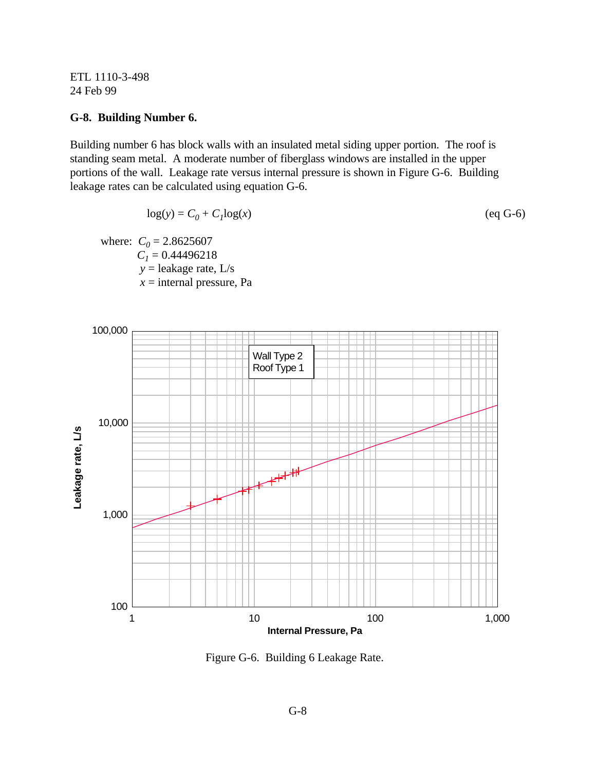#### **G-8. Building Number 6.**

Building number 6 has block walls with an insulated metal siding upper portion. The roof is standing seam metal. A moderate number of fiberglass windows are installed in the upper portions of the wall. Leakage rate versus internal pressure is shown in Figure G-6. Building leakage rates can be calculated using equation G-6.

$$
\log(y) = C_0 + C_1 \log(x) \tag{eq G-6}
$$

where:  $C_0 = 2.8625607$  $C_1 = 0.44496218$  *y* = leakage rate, L/s *x* = internal pressure, Pa



Figure G-6. Building 6 Leakage Rate.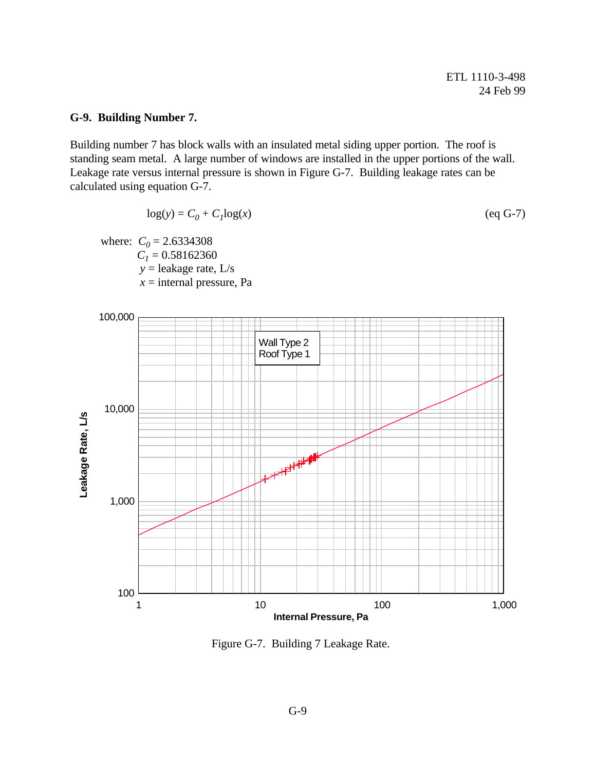#### **G-9. Building Number 7.**

Building number 7 has block walls with an insulated metal siding upper portion. The roof is standing seam metal. A large number of windows are installed in the upper portions of the wall. Leakage rate versus internal pressure is shown in Figure G-7. Building leakage rates can be calculated using equation G-7.

$$
\log(y) = C_0 + C_1 \log(x) \tag{eq G-7}
$$

where:  $C_0 = 2.6334308$  $C_l = 0.58162360$  *y* = leakage rate, L/s *x* = internal pressure, Pa



Figure G-7. Building 7 Leakage Rate.